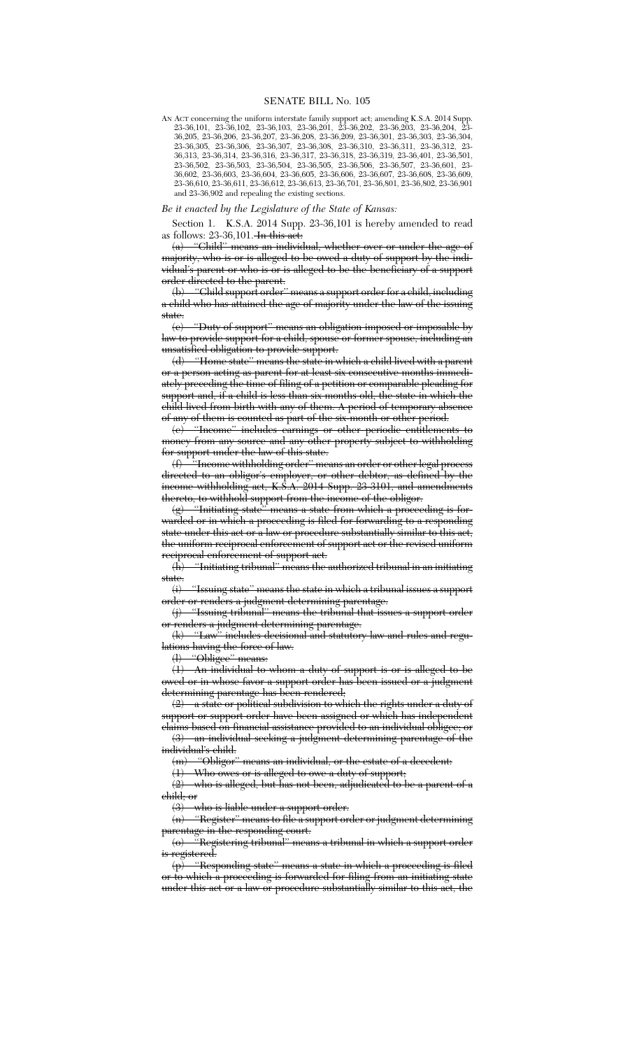## SENATE BILL No. 105

AN ACT concerning the uniform interstate family support act; amending K.S.A. 2014 Supp. 23-36,101, 23-36,102, 23-36,103, 23-36,201, 23-36,202, 23-36,203, 23-36,204, 23- 36,205, 23-36,206, 23-36,207, 23-36,208, 23-36,209, 23-36,301, 23-36,303, 23-36,304, 23-36,305, 23-36,306, 23-36,307, 23-36,308, 23-36,310, 23-36,311, 23-36,312, 23- 36,313, 23-36,314, 23-36,316, 23-36,317, 23-36,318, 23-36,319, 23-36,401, 23-36,501, 23-36,502, 23-36,503, 23-36,504, 23-36,505, 23-36,506, 23-36,507, 23-36,601, 23- 36,602, 23-36,603, 23-36,604, 23-36,605, 23-36,606, 23-36,607, 23-36,608, 23-36,609, 23-36,610, 23-36,611, 23-36,612, 23-36,613, 23-36,701, 23-36,801, 23-36,802, 23-36,901 and 23-36,902 and repealing the existing sections.

## *Be it enacted by the Legislature of the State of Kansas:*

Section 1. K.S.A. 2014 Supp. 23-36,101 is hereby amended to read as follows:  $23-36,101$ . In this act:

(a) ''Child'' means an individual, whether over or under the age of majority, who is or is alleged to be owed a duty of support by the individual's parent or who is or is alleged to be the beneficiary of a support order directed to the parent.

(b) ''Child support order'' means a support order for a child, including a child who has attained the age of majority under the law of the issuing state.

(c) ''Duty of support'' means an obligation imposed or imposable by law to provide support for a child, spouse or former spouse, including an unsatisfied obligation to provide support.

(d) ''Home state'' means the state in which a child lived with a parent or a person acting as parent for at least six consecutive months immediately preceding the time of filing of a petition or comparable pleading for support and, if a child is less than six months old, the state in which the child lived from birth with any of them. A period of temporary absence of any of them is counted as part of the six-month or other period.

 $(e)$  "Income" includes carnings or other periodic entitlement money from any source and any other property subject to withholding for support under the law of this state.

(f) ''Income withholding order'' means an order or other legal process directed to an obligor's employer, or other debtor, as defined by the income withholding act, K.S.A. 2014 Supp. 23-3101, and amendments thereto, to withhold support from the income of the obligor.

(g) ''Initiating state'' means a state from which a proceeding is forwarded or in which a proceeding is filed for forwarding to a responding state under this act or a law or procedure substantially similar to this act, the uniform reciprocal enforcement of support act or the revised uniform reciprocal enforcement of support act.<br>(h) "Initiating tribunal" means the

"Initiating tribunal" means the authorized tribunal in an initiating state.

(i) ''Issuing state'' means the state in which a tribunal issues a support order or renders a judgment determining parentage.

(j) ''Issuing tribunal'' means the tribunal that issues a support order or renders a judgment determining parentage

(k) ''Law'' includes decisional and statutory law and rules and regulations having the force of law.

(l) "Obligee" means:<br>(1) An individual to (1) An individual to whom a duty of support is or is alleged to be owed or in whose favor a support order has been issued or a judgment determining parentage has been rendered;

 $(2)$  a state or political subdivision to which the rights under a duty of support or support order have been assigned or which has independent claims based on financial assistance provided to an individual obligee; or

(3) an individual seeking a judgment determining parentage of the individual's child.

 $\frac{1}{2}$  ''Obligor'' means an individual, or the estate of a decedent:<br>(1) Who owes or is alleged to owe a duty of support:

Who owes or is alleged to owe a duty of support;

(2) who is alleged, but has not been, adjudicated to be a parent of a child; or

(3) who is liable under a support order.

 $\overrightarrow{(n)}$  "Register" means to file a support order or judgment determining parentage in the responding court.

(o) ''Registering tribunal'' means a tribunal in which a support order is registered.

 $\overrightarrow{p}$  "Responding state" means a state in which a proceeding is filed or to which a proceeding is forwarded for filing from an initiating state under this act or a law or procedure substantially similar to this act, the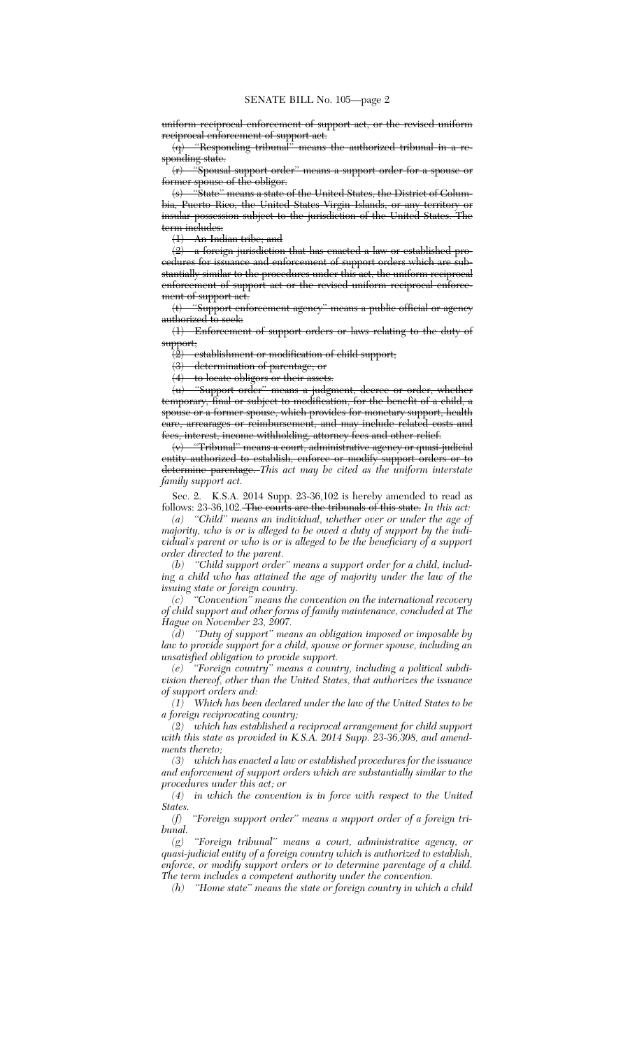uniform reciprocal enforcement of support act, or the revised uniform reciprocal enforcement of support act.

 $\langle \overline{q} \rangle$  "Responding tribunal" means the authorized tribunal in a responding state.<br>
(r) "Spousal support order"

means a support order for a spouse former spouse of the obligor.

(s) ''State'' means a state of the United States, the District of Colum-Puerto Rico, the United States Virgin Islands, or any territor insular possession subject to the jurisdiction of the United States. term includes:

(1) An Indian tribe; and

(2) a foreign jurisdiction that has enacted a law or established procedures for issuance and enforcement of support orders which are substantially similar to the procedures under this act, the uniform reciprocal enforcement of support act or the revised uniform reciprocal enforcement of support act

(t) ''Support enforcement agency'' means a public official or agency authorized to seek:

(1) Enforcement of support orders or laws relating to the duty of support;

(2) establishment or modification of child support;

 $(3)$  determination of parentage; or<br> $(4)$  to locate obligors or their asset

to locate obligors or their assets.

(u) ''Support order'' means a judgment, decree or order, whether temporary, final or subject to modification, for the benefit of a child, a spouse or a former spouse, which provides for monetary support, health care, arrearages or reimbursement, and may include related costs and fees, interest, income withholding, attorney fees and other relief.

(v) ''Tribunal'' means a court, administrative agency or quasi-judicial entity authorized to establish, enforce or modify support orders or to determine parentage. *This act may be cited as the uniform interstate family support act.*

Sec. 2. K.S.A. 2014 Supp. 23-36,102 is hereby amended to read as follows: 23-36,102. The courts are the tribunals of this state. *In this act:*

*(a) ''Child'' means an individual, whether over or under the age of majority, who is or is alleged to be owed a duty of support by the individual's parent or who is or is alleged to be the beneficiary of a support order directed to the parent.*

*(b) ''Child support order'' means a support order for a child, including a child who has attained the age of majority under the law of the issuing state or foreign country.*

*(c) ''Convention'' means the convention on the international recovery of child support and other forms of family maintenance, concluded at The Hague on November 23, 2007.*

*(d) ''Duty of support'' means an obligation imposed or imposable by law to provide support for a child, spouse or former spouse, including an unsatisfied obligation to provide support.*

*(e) ''Foreign country'' means a country, including a political subdivision thereof, other than the United States, that authorizes the issuance of support orders and:*

*(1) Which has been declared under the law of the United States to be a foreign reciprocating country;*

*(2) which has established a reciprocal arrangement for child support with this state as provided in K.S.A. 2014 Supp. 23-36,308, and amendments thereto;*

*(3) which has enacted a law or established procedures for the issuance and enforcement of support orders which are substantially similar to the procedures under this act; or*

*(4) in which the convention is in force with respect to the United States.*

*(f) ''Foreign support order'' means a support order of a foreign tribunal.*

*(g) ''Foreign tribunal'' means a court, administrative agency, or quasi-judicial entity of a foreign country which is authorized to establish, enforce, or modify support orders or to determine parentage of a child. The term includes a competent authority under the convention.*

*(h) ''Home state'' means the state or foreign country in which a child*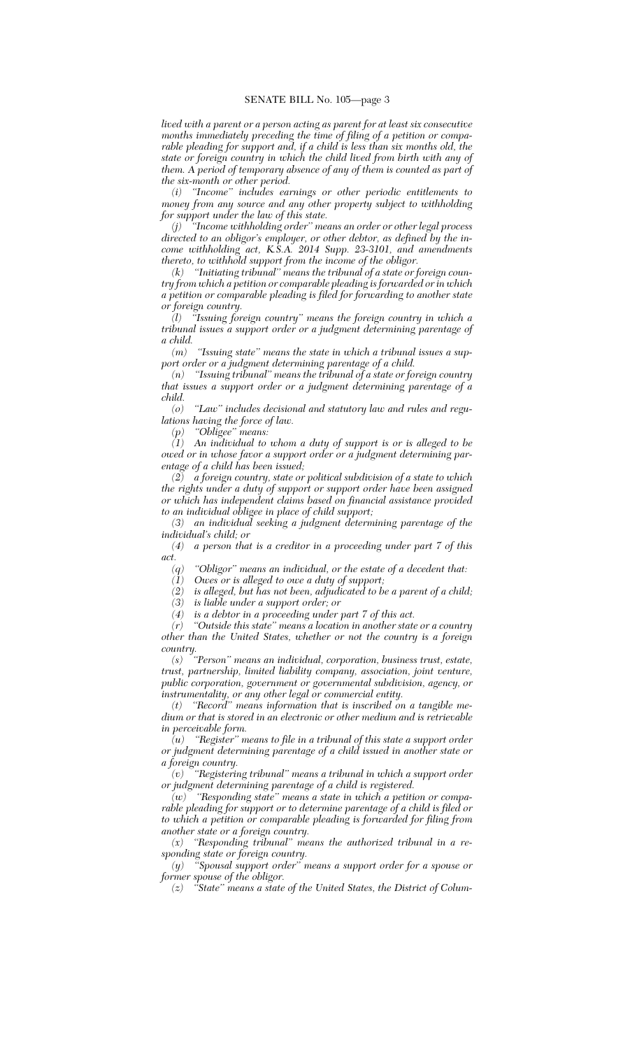*lived with a parent or a person acting as parent for at least six consecutive months immediately preceding the time of filing of a petition or comparable pleading for support and, if a child is less than six months old, the state or foreign country in which the child lived from birth with any of them. A period of temporary absence of any of them is counted as part of the six-month or other period.*

*(i) ''Income'' includes earnings or other periodic entitlements to money from any source and any other property subject to withholding for support under the law of this state.*

*(j) ''Income withholding order'' means an order or other legal process directed to an obligor's employer, or other debtor, as defined by the income withholding act, K.S.A. 2014 Supp. 23-3101, and amendments thereto, to withhold support from the income of the obligor.*

"Initiating tribunal" means the tribunal of a state or foreign coun*try from which a petition or comparable pleading is forwarded or in which a petition or comparable pleading is filed for forwarding to another state or foreign country.*

*(l) ''Issuing foreign country'' means the foreign country in which a tribunal issues a support order or a judgment determining parentage of a child.*

*(m) ''Issuing state'' means the state in which a tribunal issues a support order or a judgment determining parentage of a child.*

*(n) ''Issuing tribunal'' means the tribunal of a state or foreign country that issues a support order or a judgment determining parentage of a*

*child.* "Law" includes decisional and statutory law and rules and regu*lations having the force of law.*

*(p) ''Obligee'' means:*

*(1) An individual to whom a duty of support is or is alleged to be owed or in whose favor a support order or a judgment determining parentage of a child has been issued;*

*(2) a foreign country, state or political subdivision of a state to which the rights under a duty of support or support order have been assigned or which has independent claims based on financial assistance provided to an individual obligee in place of child support;*

*(3) an individual seeking a judgment determining parentage of the individual's child; or*

*(4) a person that is a creditor in a proceeding under part 7 of this*  $\begin{array}{c} act. \\ (q) \end{array}$ 

"Obligor" means an individual, or the estate of a decedent that:

*(1) Owes or is alleged to owe a duty of support; (2) is alleged, but has not been, adjudicated to be a parent of a child;*

*(3) is liable under a support order; or*

*(4) is a debtor in a proceeding under part 7 of this act.*

*(r) ''Outside this state'' means a location in another state or a country other than the United States, whether or not the country is a foreign country.*

*(s) ''Person'' means an individual, corporation, business trust, estate, trust, partnership, limited liability company, association, joint venture, public corporation, government or governmental subdivision, agency, or instrumentality, or any other legal or commercial entity.*

*(t) ''Record'' means information that is inscribed on a tangible medium or that is stored in an electronic or other medium and is retrievable in perceivable form.*

*(u) ''Register'' means to file in a tribunal of this state a support order or judgment determining parentage of a child issued in another state or a foreign country.*

*(v) ''Registering tribunal'' means a tribunal in which a support order or judgment determining parentage of a child is registered.*

*(w) ''Responding state'' means a state in which a petition or comparable pleading for support or to determine parentage of a child is filed or to which a petition or comparable pleading is forwarded for filing from another state or a foreign country.*

*(x) ''Responding tribunal'' means the authorized tribunal in a responding state or foreign country.*

*(y) ''Spousal support order'' means a support order for a spouse or former spouse of the obligor.*

*(z) ''State'' means a state of the United States, the District of Colum-*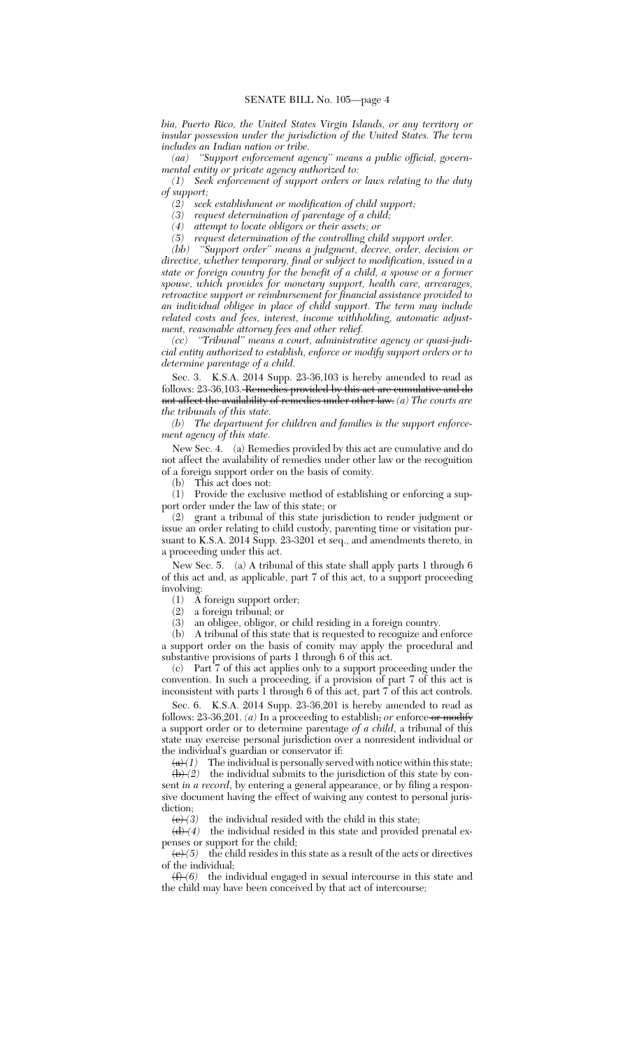*bia, Puerto Rico, the United States Virgin Islands, or any territory or insular possession under the jurisdiction of the United States. The term includes an Indian nation or tribe.*

*(aa) ''Support enforcement agency'' means a public official, governmental entity or private agency authorized to:*

*(1) Seek enforcement of support orders or laws relating to the duty of support;*

*(2) seek establishment or modification of child support;*

*(3) request determination of parentage of a child;*

*(4) attempt to locate obligors or their assets; or*

*(5) request determination of the controlling child support order.*

*(bb) ''Support order'' means a judgment, decree, order, decision or directive, whether temporary, final or subject to modification, issued in a state or foreign country for the benefit of a child, a spouse or a former spouse, which provides for monetary support, health care, arrearages, retroactive support or reimbursement for financial assistance provided to an individual obligee in place of child support. The term may include related costs and fees, interest, income withholding, automatic adjustment, reasonable attorney fees and other relief.*

*(cc) ''Tribunal'' means a court, administrative agency or quasi-judicial entity authorized to establish, enforce or modify support orders or to determine parentage of a child.*

Sec. 3. K.S.A. 2014 Supp. 23-36,103 is hereby amended to read as follows: 23-36,103. Remedies provided by this act are cumulative and do not affect the availability of remedies under other law. *(a) The courts are the tribunals of this state.*

*(b) The department for children and families is the support enforcement agency of this state.*

New Sec. 4. (a) Remedies provided by this act are cumulative and do not affect the availability of remedies under other law or the recognition of a foreign support order on the basis of comity.

This act does not:

(1) Provide the exclusive method of establishing or enforcing a support order under the law of this state; or

(2) grant a tribunal of this state jurisdiction to render judgment or issue an order relating to child custody, parenting time or visitation pursuant to K.S.A. 2014 Supp. 23-3201 et seq., and amendments thereto, in a proceeding under this act.

New Sec. 5. (a) A tribunal of this state shall apply parts 1 through 6 of this act and, as applicable, part 7 of this act, to a support proceeding involving:

(1) A foreign support order;

(2) a foreign tribunal; or  $(3)$  an obligee, obligor, o

an obligee, obligor, or child residing in a foreign country.

(b) A tribunal of this state that is requested to recognize and enforce a support order on the basis of comity may apply the procedural and substantive provisions of parts 1 through 6 of this act.

(c) Part 7 of this act applies only to a support proceeding under the convention. In such a proceeding, if a provision of part 7 of this act is inconsistent with parts 1 through 6 of this act, part 7 of this act controls.

Sec. 6. K.S.A. 2014 Supp. 23-36,201 is hereby amended to read as follows: 23-36,201. *(a)* In a proceeding to establish, *or* enforce or modify a support order or to determine parentage *of a child*, a tribunal of this state may exercise personal jurisdiction over a nonresident individual or the individual's guardian or conservator if:<br> $\frac{(\mathbf{a})}{(1)}$  The individual is personally serve

The individual is personally served with notice within this state;

 $\overline{(b)}$  *(2)* the individual submits to the jurisdiction of this state by consent *in a record*, by entering a general appearance, or by filing a responsive document having the effect of waiving any contest to personal jurisdiction;<br> $\frac{\left( e\right) -\left( 3\right) }{\left( 3\right) }$ 

 $\left(\frac{+}{+}\right)$  the individual resided with the child in this state;<br> $\left(\frac{+}{+}\right)$  the individual resided in this state and provided

the individual resided in this state and provided prenatal expenses or support for the child;

 $\overline{(e)}(5)$  the child resides in this state as a result of the acts or directives of the individual;

 $(f)(6)$  the individual engaged in sexual intercourse in this state and the child may have been conceived by that act of intercourse;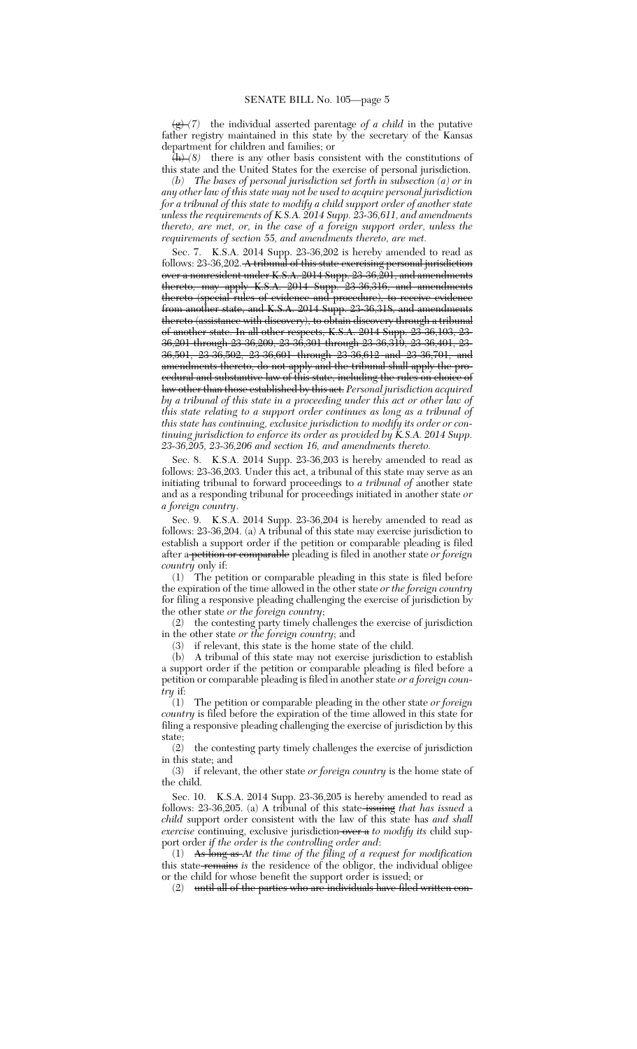$\frac{f(x)}{g}$  *(7)* the individual asserted parentage *of a child* in the putative father registry maintained in this state by the secretary of the Kansas department for children and families; or

 $\overline{h}(k)$  there is any other basis consistent with the constitutions of this state and the United States for the exercise of personal jurisdiction.

*(b) The bases of personal jurisdiction set forth in subsection (a) or in any other law of this state may not be used to acquire personal jurisdiction for a tribunal of this state to modify a child support order of another state unless the requirements of K.S.A. 2014 Supp. 23-36,611, and amendments thereto, are met, or, in the case of a foreign support order, unless the requirements of section 55, and amendments thereto, are met.*

Sec. 7. K.S.A. 2014 Supp. 23-36,202 is hereby amended to read as follows: 23-36,202. <del>A tribunal of this state exercising personal jurisdiction</del> over a nonresident under K.S.A. 2014 Supp. 23-36,201, and amendments thereto, may apply K.S.A. 2014 Supp. 23-36,316, and amendments thereto (special rules of evidence and procedure), to receive evidence from another state, and K.S.A. 2014 Supp. 23-36,318, and amendments thereto (assistance with discovery), to obtain discovery through a tribunal of another state. In all other respects, K.S.A. 2014 Supp. 23-36,103, 23- 36,201 through 23-36,209, 23-36,301 through 23-36,319, 23-36,401, 23- 36,501, 23-36,502, 23-36,601 through 23-36,612 and 23-36,701, and amendments thereto, do not apply and the tribunal shall apply the procedural and substantive law of this state, including the rules on choice of law other than those established by this act. *Personal jurisdiction acquired by a tribunal of this state in a proceeding under this act or other law of this state relating to a support order continues as long as a tribunal of this state has continuing, exclusive jurisdiction to modify its order or continuing jurisdiction to enforce its order as provided by K.S.A. 2014 Supp. 23-36,205, 23-36,206 and section 16, and amendments thereto.*

Sec. 8. K.S.A. 2014 Supp. 23-36,203 is hereby amended to read as follows: 23-36,203. Under this act, a tribunal of this state may serve as an initiating tribunal to forward proceedings to *a tribunal of* another state and as a responding tribunal for proceedings initiated in another state *or a foreign country*.

Sec. 9. K.S.A. 2014 Supp. 23-36,204 is hereby amended to read as follows: 23-36,204. (a) A tribunal of this state may exercise jurisdiction to establish a support order if the petition or comparable pleading is filed after a petition or comparable pleading is filed in another state *or foreign country* only if:

(1) The petition or comparable pleading in this state is filed before the expiration of the time allowed in the other state *or the foreign country* for filing a responsive pleading challenging the exercise of jurisdiction by the other state *or the foreign country*;

 $(2)$  – the contesting party timely challenges the exercise of jurisdiction in the other state *or the foreign country*; and

(3) if relevant, this state is the home state of the child.<br>(b) A tribunal of this state may not exercise jurisdiction

A tribunal of this state may not exercise jurisdiction to establish a support order if the petition or comparable pleading is filed before a petition or comparable pleading is filed in another state *or a foreign country* if:

(1) The petition or comparable pleading in the other state *or foreign country* is filed before the expiration of the time allowed in this state for filing a responsive pleading challenging the exercise of jurisdiction by this state;<br> $(2)$ 

the contesting party timely challenges the exercise of jurisdiction in this state; and

(3) if relevant, the other state *or foreign country* is the home state of the child.

Sec. 10. K.S.A. 2014 Supp. 23-36,205 is hereby amended to read as follows: 23-36,205. (a) A tribunal of this state-issuing *that has issued* a *child* support order consistent with the law of this state has *and shall exercise* continuing, exclusive jurisdiction over a *to modify its* child support order *if the order is the controlling order and*:

(1) As long as *At the time of the filing of a request for modification* this state remains *is* the residence of the obligor, the individual obligee or the child for whose benefit the support order is issued; or

 $(2)$  until all of the parties who are individuals have filed written con-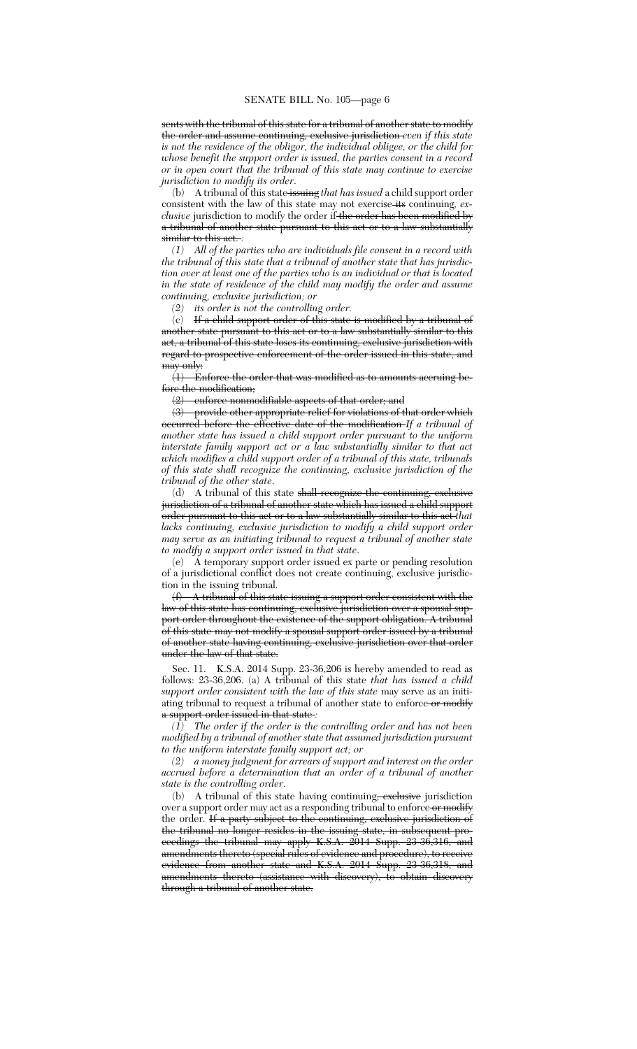sents with the tribunal of this state for a tribunal of another state to modify the order and assume continuing, exclusive jurisdiction *even if this state is not the residence of the obligor, the individual obligee, or the child for whose benefit the support order is issued, the parties consent in a record or in open court that the tribunal of this state may continue to exercise jurisdiction to modify its order*.

(b) A tribunal of this state issuing *that has issued* a child support order consistent with the law of this state may not exercise its continuing*, exclusive* jurisdiction to modify the order if the order has been modified by a tribunal of another state pursuant to this act or to a law substantially similar to this act. *:*

*(1) All of the parties who are individuals file consent in a record with the tribunal of this state that a tribunal of another state that has jurisdiction over at least one of the parties who is an individual or that is located in the state of residence of the child may modify the order and assume continuing, exclusive jurisdiction; or*

*(2) its order is not the controlling order.*

(c) If a child support order of this state is modified by a tribunal of another state pursuant to this act or to a law substantially similar to this act, a tribunal of this state loses its continuing, exclusive jurisdiction with regard to prospective enforcement of the order issued in this state, and may only:

 $(1)$  Enforce the order that was modified as to amounts accruing before the modification;

(2) enforce nonmodifiable aspects of that order; and

(3) provide other appropriate relief for violations of that order which occurred before the effective date of the modification *If a tribunal of another state has issued a child support order pursuant to the uniform interstate family support act or a law substantially similar to that act which modifies a child support order of a tribunal of this state, tribunals of this state shall recognize the continuing, exclusive jurisdiction of the tribunal of the other state*.

(d) A tribunal of this state shall recognize the continuing, exclusive jurisdiction of a tribunal of another state which has issued a child support order pursuant to this act or to a law substantially similar to this act *that lacks continuing, exclusive jurisdiction to modify a child support order may serve as an initiating tribunal to request a tribunal of another state to modify a support order issued in that state*.

(e) A temporary support order issued ex parte or pending resolution of a jurisdictional conflict does not create continuing, exclusive jurisdiction in the issuing tribunal.

(f) A tribunal of this state issuing a support order consistent with the law of this state has continuing, exclusive jurisdiction over a spousal support order throughout the existence of the support obligation. A tribunal of this state may not modify a spousal support order issued by a tribunal of another state having continuing, exclusive jurisdiction over that order under the law of that state.

Sec. 11. K.S.A. 2014 Supp. 23-36,206 is hereby amended to read as follows: 23-36,206. (a) A tribunal of this state *that has issued a child support order consistent with the law of this state* may serve as an initiating tribunal to request a tribunal of another state to enforce or modify a support order issued in that state *:*

*(1) The order if the order is the controlling order and has not been modified by a tribunal of another state that assumed jurisdiction pursuant to the uniform interstate family support act; or*

*(2) a money judgment for arrears of support and interest on the order accrued before a determination that an order of a tribunal of another state is the controlling order*.

(b) A tribunal of this state having continuing, exclusive jurisdiction over a support order may act as a responding tribunal to enforce or modify the order. <del>If a party subject to the continuing, exclusive jurisdiction of</del> the tribunal no longer resides in the issuing state, in subsequent proceedings the tribunal may apply K.S.A. 2014 Supp. 23-36,316, and amendments thereto (special rules of evidence and procedure), to receive evidence from another state and K.S.A. 2014 Supp. 23-36,318, and amendments thereto (assistance with discovery), to obtain discovery through a tribunal of another state.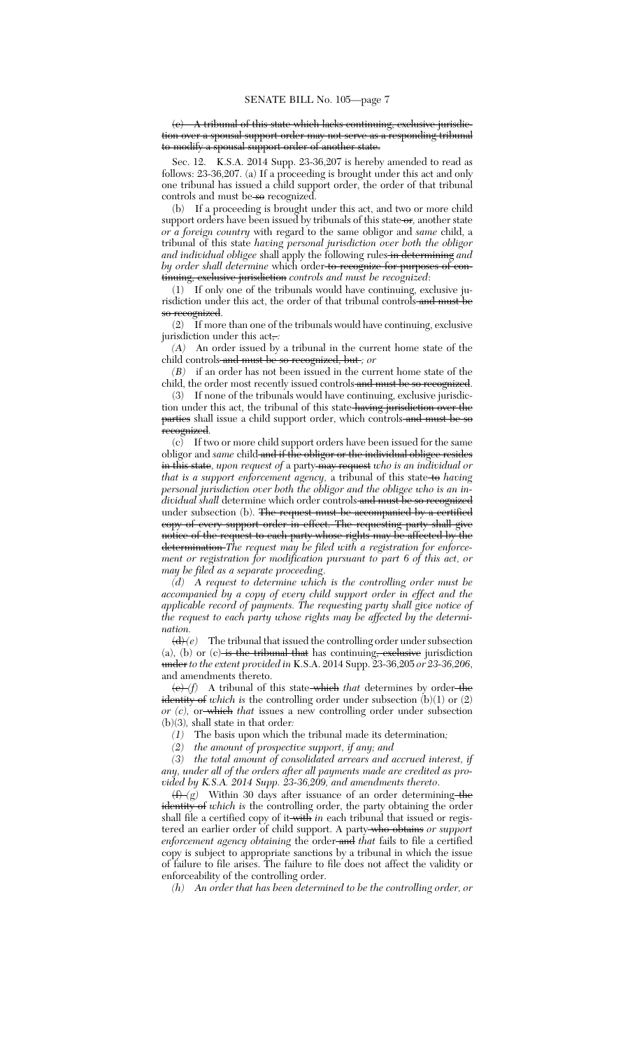A tribunal of this state which lacks continuing, exclusive jurisdiction over a spousal support order may not serve as a responding tribunal to modify a spousal support order of another state.

Sec. 12. K.S.A. 2014 Supp. 23-36,207 is hereby amended to read as follows: 23-36,207. (a) If a proceeding is brought under this act and only one tribunal has issued a child support order, the order of that tribunal controls and must be so recognized.

(b) If a proceeding is brought under this act, and two or more child support orders have been issued by tribunals of this state or*,* another state *or a foreign country* with regard to the same obligor and *same* child, a tribunal of this state *having personal jurisdiction over both the obligor and individual obligee* shall apply the following rules in determining *and by order shall determine* which order to recognize for purposes of continuing, exclusive jurisdiction *controls and must be recognized*:

(1) If only one of the tribunals would have continuing, exclusive jurisdiction under this act, the order of that tribunal controls and must be <del>recognized</del>.

(2) If more than one of the tribunals would have continuing, exclusive iurisdiction under this act.

*(A)* An order issued by a tribunal in the current home state of the child controls and must be so recognized, but *; or*

 $\left( B\right)$   $\;$  if an order has not been issued in the current home state of the child, the order most recently issued controls and must be so recognized.

(3) If none of the tribunals would have continuing, exclusive jurisdiction under this act, the tribunal of this state having jurisdiction over the parties shall issue a child support order, which controls and must be so recognized.

(c) If two or more child support orders have been issued for the same obligor and *same* child and if the obligor or the individual obligee resides in this state, *upon request of* a party may request *who is an individual or that is a support enforcement agency,* a tribunal of this state to *having personal jurisdiction over both the obligor and the obligee who is an individual shall* determine which order controls and must be so recognized under subsection (b). The request must be accompanied by a certified copy of every support order in effect. The requesting party shall give notice of the request to each party whose rights may be affected by the determination *The request may be filed with a registration for enforcement or registration for modification pursuant to part 6 of this act, or may be filed as a separate proceeding*.

*(d) A request to determine which is the controlling order must be accompanied by a copy of every child support order in effect and the applicable record of payments. The requesting party shall give notice of the request to each party whose rights may be affected by the determination.*<br> $\left(\frac{d}{e}\right)^{e}$ 

The tribunal that issued the controlling order under subsection (a), (b) or  $(c)$  is the tribunal that has continuing, exclusive jurisdiction under *to the extent provided in* K.S.A. 2014 Supp. 23-36,205 *or 23-36,206*, and amendments thereto.

 $\langle e \rangle$  *(f)* A tribunal of this state-which *that* determines by order-the identity of *which is* the controlling order under subsection (b)(1) or (2) *or (c),* or which *that* issues a new controlling order under subsection (b)(3)*,* shall state in that order*:*

*(1)* The basis upon which the tribunal made its determination*;*

*(2) the amount of prospective support, if any; and*

*(3) the total amount of consolidated arrears and accrued interest, if any, under all of the orders after all payments made are credited as provided by K.S.A. 2014 Supp. 23-36,209, and amendments thereto*.

 $(f)$  *(f) (g)* Within 30 days after issuance of an order determining the identity of *which is* the controlling order, the party obtaining the order shall file a certified copy of it-with *in* each tribunal that issued or registered an earlier order of child support. A party-who obtains or support enforcement agency obtaining the order-and that fails to file a certified copy is subject to appropriate sanctions by a tribunal in which the issue of failure to file arises. The failure to file does not affect the validity or enforceability of the controlling order.

*(h) An order that has been determined to be the controlling order, or*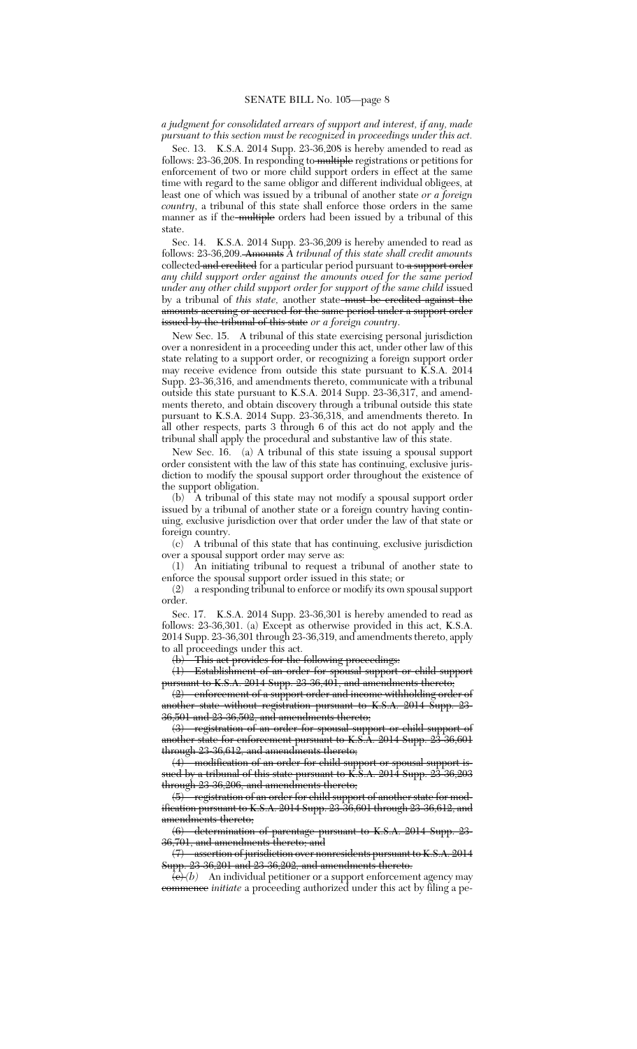## SENATE BILL No. 105—page 8

*a judgment for consolidated arrears of support and interest, if any, made pursuant to this section must be recognized in proceedings under this act.*

Sec. 13. K.S.A. 2014 Supp. 23-36,208 is hereby amended to read as follows: 23-36,208. In responding to multiple registrations or petitions for enforcement of two or more child support orders in effect at the same time with regard to the same obligor and different individual obligees, at least one of which was issued by a tribunal of another state *or a foreign country*, a tribunal of this state shall enforce those orders in the same manner as if the multiple orders had been issued by a tribunal of this state.

Sec. 14. K.S.A. 2014 Supp. 23-36,209 is hereby amended to read as follows: 23-36,209. Amounts *A tribunal of this state shall credit amounts* collected and credited for a particular period pursuant to a support order *any child support order against the amounts owed for the same period under any other child support order for support of the same child* issued by a tribunal of *this state,* another state must be credited against the amounts accruing or accrued for the same period under a support order issued by the tribunal of this state *or a foreign country*.

New Sec. 15. A tribunal of this state exercising personal jurisdiction over a nonresident in a proceeding under this act, under other law of this state relating to a support order, or recognizing a foreign support order may receive evidence from outside this state pursuant to K.S.A. 2014 Supp. 23-36,316, and amendments thereto, communicate with a tribunal outside this state pursuant to K.S.A. 2014 Supp. 23-36,317, and amendments thereto, and obtain discovery through a tribunal outside this state pursuant to K.S.A. 2014 Supp. 23-36,318, and amendments thereto. In all other respects, parts 3 through 6 of this act do not apply and the tribunal shall apply the procedural and substantive law of this state.

New Sec. 16. (a) A tribunal of this state issuing a spousal support order consistent with the law of this state has continuing, exclusive jurisdiction to modify the spousal support order throughout the existence of the support obligation.

(b) A tribunal of this state may not modify a spousal support order issued by a tribunal of another state or a foreign country having continuing, exclusive jurisdiction over that order under the law of that state or foreign country.

(c) A tribunal of this state that has continuing, exclusive jurisdiction over a spousal support order may serve as:

(1) An initiating tribunal to request a tribunal of another state to enforce the spousal support order issued in this state; or

(2) a responding tribunal to enforce or modify its own spousal support order.

Sec. 17. K.S.A. 2014 Supp. 23-36,301 is hereby amended to read as follows: 23-36,301. (a) Except as otherwise provided in this act, K.S.A. 2014 Supp. 23-36,301 through 23-36,319, and amendments thereto, apply to all proceedings under this act.<br> $\langle b \rangle$  This act provides for the following proceedings:

(b) This act provides for the following proceedings:

(1) Establishment of an order for spousal support or child support pursuant to K.S.A. 2014 Supp. 23-36,401, and amendments thereto;

(2) enforcement of a support order and income withholding order of another state without registration pursuant to K.S.A. 2014 Supp. 23- 36,501 and 23-36,502, and amendments thereto;

(3) registration of an order for spousal support or child support of another state for enforcement pursuant to K.S.A. 2014 Supp. 23-36,601 through 23-36,612, and amendments thereto;

(4) modification of an order for child support or spousal support issued by a tribunal of this state pursuant to K.S.A. 2014 Supp. 23-36,203 through 23-36,206, and amendments thereto;<br><del>(5)</del> registration of an order for child suppo

 $\overline{\phantom{a}}$  registration of an order for child support of another state for modification pursuant to K.S.A. 2014 Supp. 23-36,601 through 23-36,612, and amendments thereto;

(6) determination of parentage pursuant to K.S.A. 2014 Supp. 23- 36,701, and amendments thereto; and

 $(7)$  assertion of jurisdiction over nonresidents pursuant to K.S.A. 2014 Supp. 23-36,201 and 23-36,202, and amendments thereto.

 $\sqrt{(\hat{c})}/(b)$  An individual petitioner or a support enforcement agency may commence *initiate* a proceeding authorized under this act by filing a pe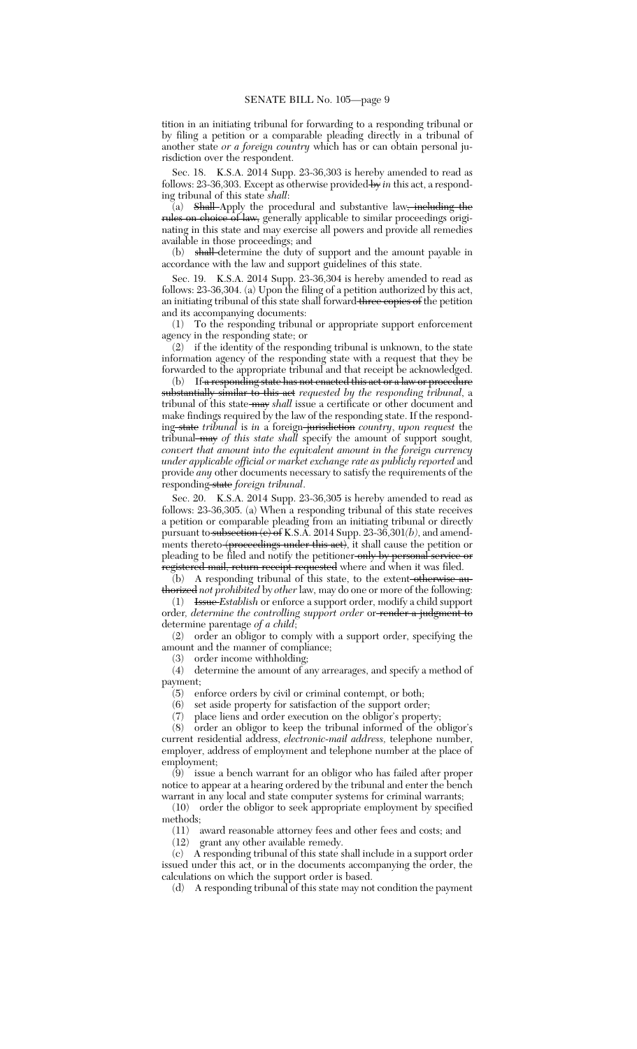tition in an initiating tribunal for forwarding to a responding tribunal or by filing a petition or a comparable pleading directly in a tribunal of another state *or a foreign country* which has or can obtain personal jurisdiction over the respondent.

Sec. 18. K.S.A. 2014 Supp. 23-36,303 is hereby amended to read as follows: 23-36,303. Except as otherwise provided by *in* this act, a responding tribunal of this state *shall*:

(a) Shall-Apply the procedural and substantive law<del>, including the</del> rules on choice of law, generally applicable to similar proceedings originating in this state and may exercise all powers and provide all remedies available in those proceedings; and

(b) shall determine the duty of support and the amount payable in accordance with the law and support guidelines of this state.

Sec. 19. K.S.A. 2014 Supp. 23-36,304 is hereby amended to read as follows: 23-36,304. (a) Upon the filing of a petition authorized by this act, an initiating tribunal of this state shall forward three copies of the petition and its accompanying documents:

(1) To the responding tribunal or appropriate support enforcement agency in the responding state; or

 $(2)$  if the identity of the responding tribunal is unknown, to the state information agency of the responding state with a request that they be forwarded to the appropriate tribunal and that receipt be acknowledged.

(b) If a responding state has not enacted this act or a law or procedure substantially similar to this act *requested by the responding tribunal*, a tribunal of this state may *shall* issue a certificate or other document and make findings required by the law of the responding state. If the responding state *tribunal* is *in* a foreign jurisdiction *country*, *upon request* the tribunal may *of this state shall* specify the amount of support sought*, convert that amount into the equivalent amount in the foreign currency under applicable official or market exchange rate as publicly reported* and provide *any* other documents necessary to satisfy the requirements of the responding state *foreign tribunal*.

Sec. 20. K.S.A. 2014 Supp. 23-36,305 is hereby amended to read as follows: 23-36,305. (a) When a responding tribunal of this state receives a petition or comparable pleading from an initiating tribunal or directly pursuant to subsection (e) of K.S.A. 2014 Supp. 23-36,301(b), and amendments thereto (proceedings under this act), it shall cause the petition or pleading to be filed and notify the petitioner only by personal service registered mail, return receipt requested where and when it was filed.

(b) A responding tribunal of this state, to the extent-otherwise au-

thorized *not prohibited* by *other* law, may do one or more of the following: (1) Issue *Establish* or enforce a support order, modify a child support

order, *determine the controlling support order* or render a judgment to determine parentage *of a child*;

(2) order an obligor to comply with a support order, specifying the amount and the manner of compliance;

(3) order income withholding;

(4) determine the amount of any arrearages, and specify a method of payment;

(5) enforce orders by civil or criminal contempt, or both;

(6) set aside property for satisfaction of the support order;  $(7)$  place liens and order execution on the obligor's proper

place liens and order execution on the obligor's property;

(8) order an obligor to keep the tribunal informed of the obligor's current residential address, *electronic-mail address,* telephone number, employer, address of employment and telephone number at the place of employment;

 $(9)$  issue a bench warrant for an obligor who has failed after proper notice to appear at a hearing ordered by the tribunal and enter the bench warrant in any local and state computer systems for criminal warrants;

(10) order the obligor to seek appropriate employment by specified methods;

(11) award reasonable attorney fees and other fees and costs; and

(12) grant any other available remedy.

(c) A responding tribunal of this state shall include in a support order issued under this act, or in the documents accompanying the order, the calculations on which the support order is based.

(d) A responding tribunal of this state may not condition the payment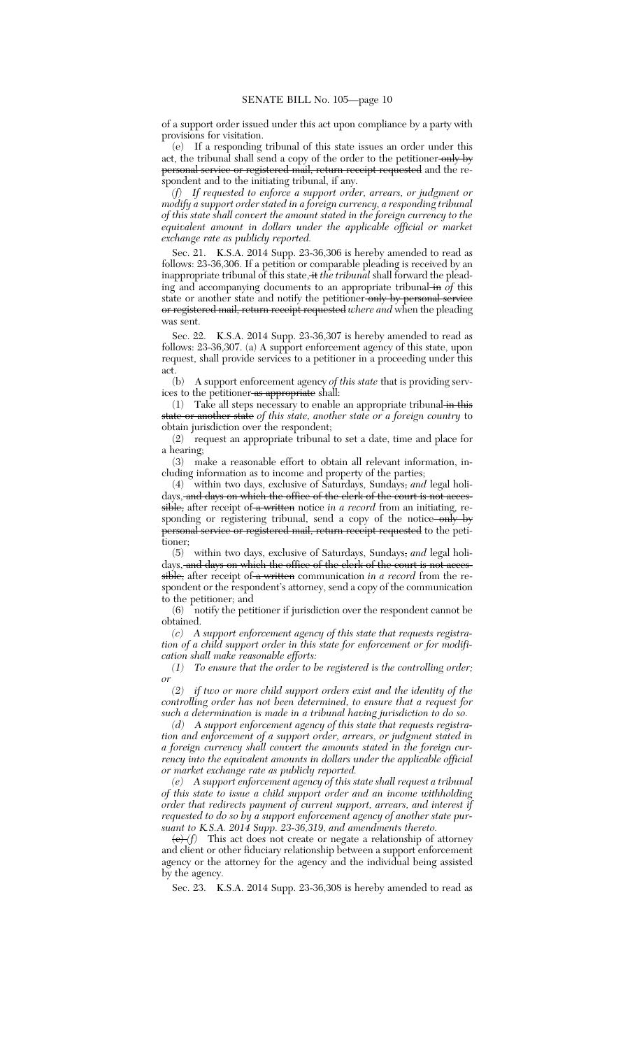of a support order issued under this act upon compliance by a party with provisions for visitation.

(e) If a responding tribunal of this state issues an order under this act, the tribunal shall send a copy of the order to the petitioner-only by personal service or registered mail, return receipt requested and the respondent and to the initiating tribunal, if any.

*(f) If requested to enforce a support order, arrears, or judgment or modify a support order stated in a foreign currency, a responding tribunal of this state shall convert the amount stated in the foreign currency to the equivalent amount in dollars under the applicable official or market exchange rate as publicly reported.*

Sec. 21. K.S.A. 2014 Supp. 23-36,306 is hereby amended to read as follows: 23-36,306. If a petition or comparable pleading is received by an inappropriate tribunal of this state, it *the tribunal* shall forward the pleading and accompanying documents to an appropriate tribunal-in of this state or another state and notify the petitioner only by personal service or registered mail, return receipt requested *where and* when the pleading was sent.

Sec. 22. K.S.A. 2014 Supp. 23-36,307 is hereby amended to read as follows: 23-36,307. (a) A support enforcement agency of this state, upon request, shall provide services to a petitioner in a proceeding under this act.

(b) A support enforcement agency *of this state* that is providing services to the petitioner as appropriate shall:

(1) Take all steps necessary to enable an appropriate tribunal  $\frac{1}{2}$  this state or another state *of this state, another state or a foreign country* to obtain jurisdiction over the respondent;

(2) request an appropriate tribunal to set a date, time and place for a hearing;

(3) make a reasonable effort to obtain all relevant information, including information as to income and property of the parties;

(4) within two days, exclusive of Saturdays, Sundays, *and* legal holidays, and days on which the office of the clerk of the court is not accessible, after receipt of a written notice *in a record* from an initiating, responding or registering tribunal, send a copy of the notice-only by personal service or registered mail, return receipt requested to the petitioner;

(5) within two days, exclusive of Saturdays, Sundays, *and* legal holidays, and days on which the office of the clerk of the court is not accessible, after receipt of a written communication *in a record* from the respondent or the respondent's attorney, send a copy of the communication to the petitioner; and

(6) notify the petitioner if jurisdiction over the respondent cannot be obtained.

*(c) A support enforcement agency of this state that requests registration of a child support order in this state for enforcement or for modification shall make reasonable efforts:*

*(1) To ensure that the order to be registered is the controlling order; or*

*(2) if two or more child support orders exist and the identity of the controlling order has not been determined, to ensure that a request for such a determination is made in a tribunal having jurisdiction to do so.*

*(d) A support enforcement agency of this state that requests registration and enforcement of a support order, arrears, or judgment stated in a foreign currency shall convert the amounts stated in the foreign currency into the equivalent amounts in dollars under the applicable official or market exchange rate as publicly reported.*

*(e) A support enforcement agency of this state shall request a tribunal of this state to issue a child support order and an income withholding order that redirects payment of current support, arrears, and interest if requested to do so by a support enforcement agency of another state pursuant to K.S.A. 2014 Supp. 23-36,319, and amendments thereto.*

 $\overline{(e)}(f)$  This act does not create or negate a relationship of attorney and client or other fiduciary relationship between a support enforcement agency or the attorney for the agency and the individual being assisted by the agency.

Sec. 23. K.S.A. 2014 Supp. 23-36,308 is hereby amended to read as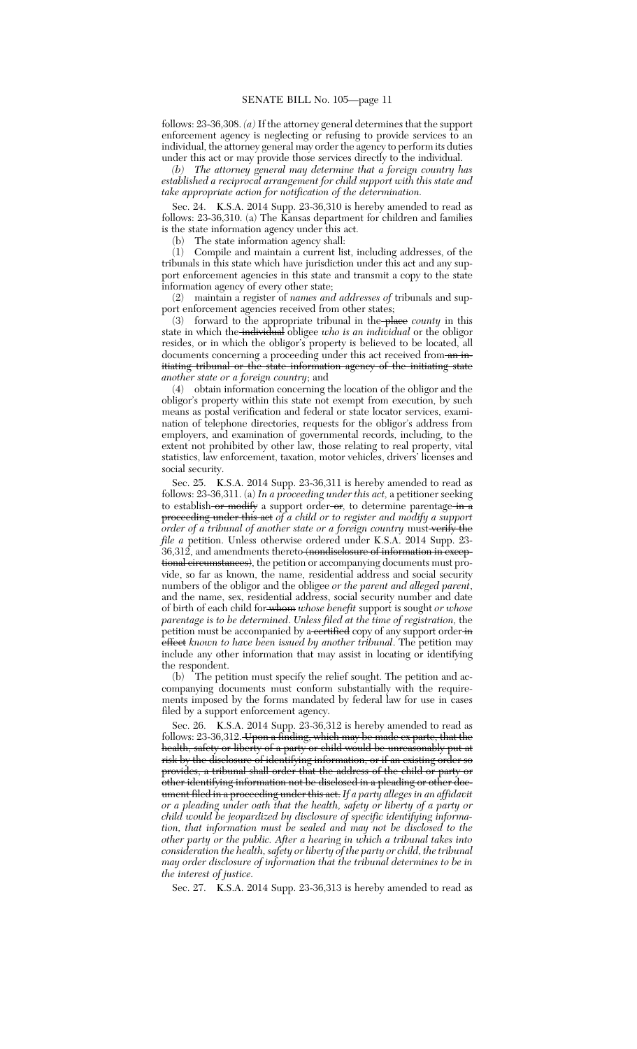follows: 23-36,308. *(a)* If the attorney general determines that the support enforcement agency is neglecting or refusing to provide services to an individual, the attorney general may order the agency to perform its duties under this act or may provide those services directly to the individual.<br>(b) The attorney general may determine that a foreign countru h

*(b) The attorney general may determine that a foreign country has established a reciprocal arrangement for child support with this state and take appropriate action for notification of the determination.*

Sec. 24. K.S.A. 2014 Supp. 23-36,310 is hereby amended to read as follows: 23-36,310. (a) The Kansas department for children and families is the state information agency under this act.

(b) The state information agency shall:

(1) Compile and maintain a current list, including addresses, of the tribunals in this state which have jurisdiction under this act and any support enforcement agencies in this state and transmit a copy to the state information agency of every other state;

(2) maintain a register of *names and addresses of* tribunals and support enforcement agencies received from other states;

(3) forward to the appropriate tribunal in the place *county* in this state in which the individual obligee *who is an individual* or the obligor resides, or in which the obligor's property is believed to be located, all documents concerning a proceeding under this act received from an initiating tribunal or the state information agency of the initiating state *another state or a foreign country*; and

(4) obtain information concerning the location of the obligor and the obligor's property within this state not exempt from execution, by such means as postal verification and federal or state locator services, examination of telephone directories, requests for the obligor's address from employers, and examination of governmental records, including, to the extent not prohibited by other law, those relating to real property, vital statistics, law enforcement, taxation, motor vehicles, drivers' licenses and social security.

Sec. 25. K.S.A. 2014 Supp. 23-36,311 is hereby amended to read as follows: 23-36,311. (a) *In a proceeding under this act,* a petitioner seeking to establish or modify a support order or, to determine parentage in a proceeding under this act *of a child or to register and modify a support order of a tribunal of another state or a foreign country must<del>-verify the</del> file a* petition. Unless otherwise ordered under K.S.A. 2014 Supp. 23- 36,312, and amendments thereto (nondisclosure of information in exceptional circumstances), the petition or accompanying documents must provide, so far as known, the name, residential address and social security numbers of the obligor and the obligee *or the parent and alleged parent*, and the name, sex, residential address, social security number and date of birth of each child for whom *whose benefit* support is sought *or whose parentage is to be determined*. *Unless filed at the time of registration,* the petition must be accompanied by a certified copy of any support order in effect *known to have been issued by another tribunal*. The petition may include any other information that may assist in locating or identifying the respondent.

(b) The petition must specify the relief sought. The petition and accompanying documents must conform substantially with the requirements imposed by the forms mandated by federal law for use in cases filed by a support enforcement agency.

Sec. 26. K.S.A. 2014 Supp. 23-36,312 is hereby amended to read as follows: 23-36,312. Upon a finding, which may be made ex parte, that the health, safety or liberty of a party or child would be unreasonably put at risk by the disclosure of identifying information, or if an existing order so provides, a tribunal shall order that the address of the child or party or other identifying information not be disclosed in a pleading or other document filed in a proceeding under this act. *If a party alleges in an affidavit or a pleading under oath that the health, safety or liberty of a party or child would be jeopardized by disclosure of specific identifying information, that information must be sealed and may not be disclosed to the other party or the public. After a hearing in which a tribunal takes into consideration the health, safety or liberty of the party or child, the tribunal may order disclosure of information that the tribunal determines to be in the interest of justice.*

Sec. 27. K.S.A. 2014 Supp. 23-36,313 is hereby amended to read as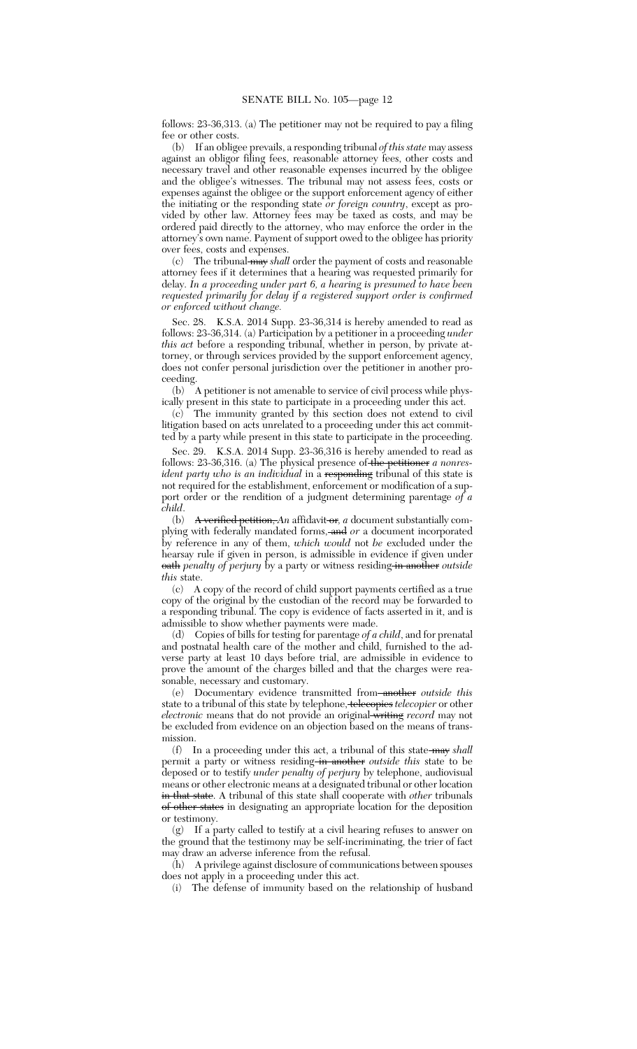follows: 23-36,313. (a) The petitioner may not be required to pay a filing fee or other costs.

(b) If an obligee prevails, a responding tribunal *of this state* may assess against an obligor filing fees, reasonable attorney fees, other costs and necessary travel and other reasonable expenses incurred by the obligee and the obligee's witnesses. The tribunal may not assess fees, costs or expenses against the obligee or the support enforcement agency of either the initiating or the responding state *or foreign country*, except as provided by other law. Attorney fees may be taxed as costs, and may be ordered paid directly to the attorney, who may enforce the order in the attorney's own name. Payment of support owed to the obligee has priority over fees, costs and expenses.

(c) The tribunal may *shall* order the payment of costs and reasonable attorney fees if it determines that a hearing was requested primarily for delay. *In a proceeding under part 6, a hearing is presumed to have been requested primarily for delay if a registered support order is confirmed or enforced without change.*

Sec. 28. K.S.A. 2014 Supp. 23-36,314 is hereby amended to read as follows: 23-36,314. (a) Participation by a petitioner in a proceeding *under this act* before a responding tribunal, whether in person, by private attorney, or through services provided by the support enforcement agency, does not confer personal jurisdiction over the petitioner in another proceeding.

(b) A petitioner is not amenable to service of civil process while physically present in this state to participate in a proceeding under this act.

(c) The immunity granted by this section does not extend to civil litigation based on acts unrelated to a proceeding under this act committed by a party while present in this state to participate in the proceeding.

Sec. 29. K.S.A. 2014 Supp. 23-36,316 is hereby amended to read as follows: 23-36,316. (a) The physical presence of the petitioner *a nonresident party who is an individual* in a responding tribunal of this state is not required for the establishment, enforcement or modification of a support order or the rendition of a judgment determining parentage *of a child*.

(b) A verified petition, *An* affidavit or*, a* document substantially complying with federally mandated forms, and *or* a document incorporated by reference in any of them, *which would* not *be* excluded under the hearsay rule if given in person, is admissible in evidence if given under oath *penalty of perjury* by a party or witness residing in another *outside this* state.

(c) A copy of the record of child support payments certified as a true copy of the original by the custodian of the record may be forwarded to a responding tribunal. The copy is evidence of facts asserted in it, and is admissible to show whether payments were made.

(d) Copies of bills for testing for parentage *of a child*, and for prenatal and postnatal health care of the mother and child, furnished to the adverse party at least 10 days before trial, are admissible in evidence to prove the amount of the charges billed and that the charges were reasonable, necessary and customary.

(e) Documentary evidence transmitted from another *outside this* state to a tribunal of this state by telephone, telecopies *telecopier* or other *electronic* means that do not provide an original writing *record* may not be excluded from evidence on an objection based on the means of transmission.

(f) In a proceeding under this act, a tribunal of this state may *shall* permit a party or witness residing in another *outside this* state to be deposed or to testify *under penalty of perjury* by telephone, audiovisual means or other electronic means at a designated tribunal or other location in that state. A tribunal of this state shall cooperate with *other* tribunals of other states in designating an appropriate location for the deposition or testimony.

(g) If a party called to testify at a civil hearing refuses to answer on the ground that the testimony may be self-incriminating, the trier of fact may draw an adverse inference from the refusal.

(h) A privilege against disclosure of communications between spouses does not apply in a proceeding under this act.

(i) The defense of immunity based on the relationship of husband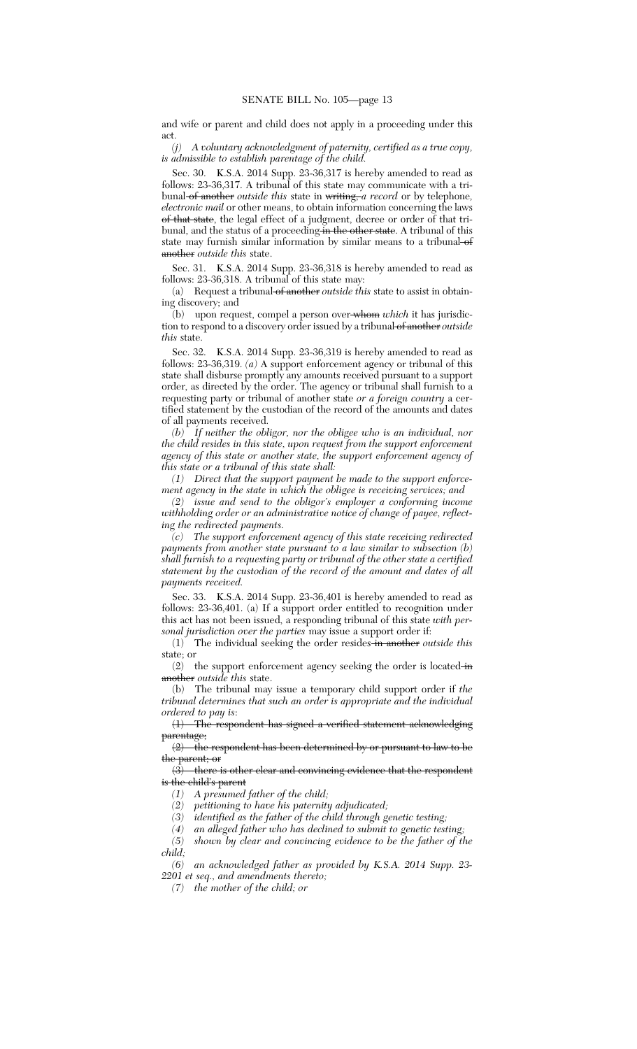and wife or parent and child does not apply in a proceeding under this act.

*(j) A voluntary acknowledgment of paternity, certified as a true copy, is admissible to establish parentage of the child.*

Sec. 30. K.S.A. 2014 Supp. 23-36,317 is hereby amended to read as follows: 23-36,317. A tribunal of this state may communicate with a tribunal of another *outside this* state in writing, *a record* or by telephone*, electronic mail* or other means, to obtain information concerning the laws of that state, the legal effect of a judgment, decree or order of that tribunal, and the status of a proceeding in the other state. A tribunal of this state may furnish similar information by similar means to a tribunal of another *outside this* state.

Sec. 31. K.S.A. 2014 Supp. 23-36,318 is hereby amended to read as follows: 23-36,318. A tribunal of this state may:

(a) Request a tribunal of another *outside this* state to assist in obtaining discovery; and

(b) upon request, compel a person over whom *which* it has jurisdiction to respond to a discovery order issued by a tribunal of another *outside this* state.

Sec. 32. K.S.A. 2014 Supp. 23-36,319 is hereby amended to read as follows: 23-36,319. *(a)* A support enforcement agency or tribunal of this state shall disburse promptly any amounts received pursuant to a support order, as directed by the order. The agency or tribunal shall furnish to a requesting party or tribunal of another state *or a foreign country* a certified statement by the custodian of the record of the amounts and dates of all payments received.

*(b) If neither the obligor, nor the obligee who is an individual, nor the child resides in this state, upon request from the support enforcement agency of this state or another state, the support enforcement agency of this state or a tribunal of this state shall:*

*(1) Direct that the support payment be made to the support enforcement agency in the state in which the obligee is receiving services; and*

*(2) issue and send to the obligor's employer a conforming income withholding order or an administrative notice of change of payee, reflecting the redirected payments.*

*(c) The support enforcement agency of this state receiving redirected payments from another state pursuant to a law similar to subsection (b) shall furnish to a requesting party or tribunal of the other state a certified statement by the custodian of the record of the amount and dates of all payments received.*

Sec. 33. K.S.A. 2014 Supp. 23-36,401 is hereby amended to read as follows: 23-36,401. (a) If a support order entitled to recognition under this act has not been issued, a responding tribunal of this state *with personal jurisdiction over the parties* may issue a support order if:

(1) The individual seeking the order resides in another *outside this* state; or

(2) the support enforcement agency seeking the order is located-in another *outside this* state.

(b) The tribunal may issue a temporary child support order if *the tribunal determines that such an order is appropriate and the individual ordered to pay is*:

(1) The respondent has signed a verified statement acknowledging parentage;

(2) the respondent has been determined by or pursuant to law to be the parent; or

(3) there is other clear and convincing evidence that the respondent is the child's parent  $(1)$  A presumed

*(1) A presumed father of the child;*

*(2) petitioning to have his paternity adjudicated;*

*(3) identified as the father of the child through genetic testing;*

*(4) an alleged father who has declined to submit to genetic testing; (5) shown by clear and convincing evidence to be the father of the*

*child;*

*(6) an acknowledged father as provided by K.S.A. 2014 Supp. 23- 2201 et seq., and amendments thereto;*

*(7) the mother of the child; or*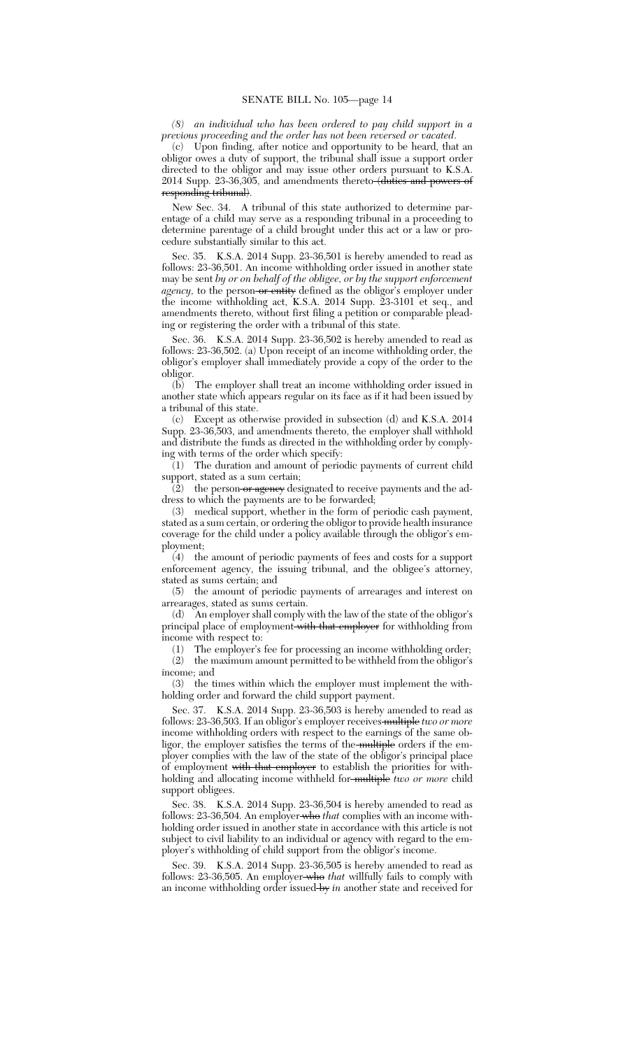*(8) an individual who has been ordered to pay child support in a previous proceeding and the order has not been reversed or vacated*.

(c) Upon finding, after notice and opportunity to be heard, that an obligor owes a duty of support, the tribunal shall issue a support order directed to the obligor and may issue other orders pursuant to K.S.A. 2014 Supp. 23-36,305, and amendments thereto (duties and powers of responding tribunal).

New Sec. 34. A tribunal of this state authorized to determine parentage of a child may serve as a responding tribunal in a proceeding to determine parentage of a child brought under this act or a law or procedure substantially similar to this act.

Sec. 35. K.S.A. 2014 Supp. 23-36,501 is hereby amended to read as follows: 23-36,501. An income withholding order issued in another state may be sent *by or on behalf of the obligee, or by the support enforcement agency*, to the person or entity defined as the obligor's employer under the income withholding act, K.S.A. 2014 Supp. 23-3101 et seq., and amendments thereto, without first filing a petition or comparable pleading or registering the order with a tribunal of this state.

Sec. 36. K.S.A. 2014 Supp. 23-36,502 is hereby amended to read as follows: 23-36,502. (a) Upon receipt of an income withholding order, the obligor's employer shall immediately provide a copy of the order to the obligor.

(b) The employer shall treat an income withholding order issued in another state which appears regular on its face as if it had been issued by a tribunal of this state.

(c) Except as otherwise provided in subsection (d) and K.S.A. 2014 Supp. 23-36,503, and amendments thereto, the employer shall withhold and distribute the funds as directed in the withholding order by complying with terms of the order which specify:

(1) The duration and amount of periodic payments of current child support, stated as a sum certain;

 $\overline{2}$  the person-or agency designated to receive payments and the address to which the payments are to be forwarded;

(3) medical support, whether in the form of periodic cash payment, stated as a sum certain, or ordering the obligor to provide health insurance coverage for the child under a policy available through the obligor's employment;

(4) the amount of periodic payments of fees and costs for a support enforcement agency, the issuing tribunal, and the obligee's attorney, stated as sums certain; and

(5) the amount of periodic payments of arrearages and interest on arrearages, stated as sums certain.

(d) An employer shall comply with the law of the state of the obligor's principal place of employment with that employer for withholding from income with respect to:

(1) The employer's fee for processing an income withholding order; (2) the maximum amount permitted to be withheld from the obligor's income; and

(3) the times within which the employer must implement the withholding order and forward the child support payment.

Sec. 37. K.S.A. 2014 Supp. 23-36,503 is hereby amended to read as follows: 23-36,503. If an obligor's employer receives multiple *two or more* income withholding orders with respect to the earnings of the same obligor, the employer satisfies the terms of the multiple orders if the employer complies with the law of the state of the obligor's principal place of employment <del>with that employer</del> to establish the priorities for withholding and allocating income withheld for multiple *two or more* child support obligees.

Sec. 38. K.S.A. 2014 Supp. 23-36,504 is hereby amended to read as follows: 23-36,504. An employer who *that* complies with an income withholding order issued in another state in accordance with this article is not subject to civil liability to an individual or agency with regard to the employer's withholding of child support from the obligor's income.

Sec. 39. K.S.A. 2014 Supp. 23-36,505 is hereby amended to read as follows: 23-36,505. An employer who *that* willfully fails to comply with an income withholding order issued by *in* another state and received for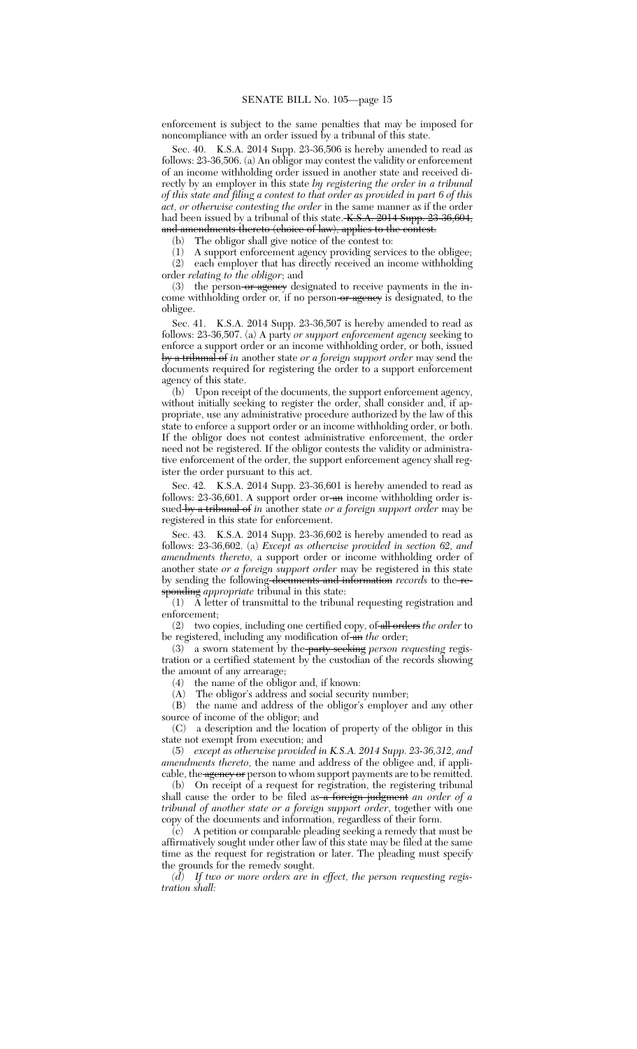enforcement is subject to the same penalties that may be imposed for noncompliance with an order issued by a tribunal of this state.

Sec. 40. K.S.A. 2014 Supp. 23-36,506 is hereby amended to read as follows: 23-36,506. (a) An obligor may contest the validity or enforcement of an income withholding order issued in another state and received directly by an employer in this state *by registering the order in a tribunal of this state and filing a contest to that order as provided in part 6 of this act, or otherwise contesting the order* in the same manner as if the order had been issued by a tribunal of this state. K.S.A. 2014 Supp. 23-36,604, and amendments thereto (choice of law), applies to the contest.

(b) The obligor shall give notice of the contest to:<br>(1) A support enforcement agency providing servi-A support enforcement agency providing services to the obligee; (2) each employer that has directly received an income withholding order *relating to the obligor*; and

(3) the person- $or$  agency designated to receive payments in the income withholding order or, if no person or agency is designated, to the obligee.

Sec. 41. K.S.A. 2014 Supp. 23-36,507 is hereby amended to read as follows: 23-36,507. (a) A party *or support enforcement agency* seeking to enforce a support order or an income withholding order, or both, issued by a tribunal of *in* another state *or a foreign support order* may send the documents required for registering the order to a support enforcement agency of this state.

 $(b)$  Upon receipt of the documents, the support enforcement agency, without initially seeking to register the order, shall consider and, if appropriate, use any administrative procedure authorized by the law of this state to enforce a support order or an income withholding order, or both. If the obligor does not contest administrative enforcement, the order need not be registered. If the obligor contests the validity or administrative enforcement of the order, the support enforcement agency shall register the order pursuant to this act.

Sec. 42. K.S.A. 2014 Supp. 23-36,601 is hereby amended to read as follows: 23-36,601. A support order or an income withholding order issued by a tribunal of *in* another state *or a foreign support order* may be registered in this state for enforcement.

Sec. 43. K.S.A. 2014 Supp. 23-36,602 is hereby amended to read as follows: 23-36,602. (a) *Except as otherwise provided in section 62, and amendments thereto,* a support order or income withholding order of another state *or a foreign support order* may be registered in this state by sending the following documents and information *records* to the responding *appropriate* tribunal in this state:

(1) A letter of transmittal to the tribunal requesting registration and enforcement;

(2) two copies, including one certified copy, of all orders *the order* to be registered, including any modification of an *the* order;

(3) a sworn statement by the party seeking *person requesting* registration or a certified statement by the custodian of the records showing the amount of any arrearage;

(4) the name of the obligor and, if known:

(A) The obligor's address and social security number;

(B) the name and address of the obligor's employer and any other source of income of the obligor; and

(C) a description and the location of property of the obligor in this state not exempt from execution; and

(5) *except as otherwise provided in K.S.A. 2014 Supp. 23-36,312, and amendments thereto,* the name and address of the obligee and, if applicable, the agency or person to whom support payments are to be remitted.

(b) On receipt of a request for registration, the registering tribunal shall cause the order to be filed as a forcign judgment *an order of a tribunal of another state or a foreign support order*, together with one copy of the documents and information, regardless of their form.

(c) A petition or comparable pleading seeking a remedy that must be affirmatively sought under other law of this state may be filed at the same time as the request for registration or later. The pleading must specify the grounds for the remedy sought.

*(d) If two or more orders are in effect, the person requesting registration shall:*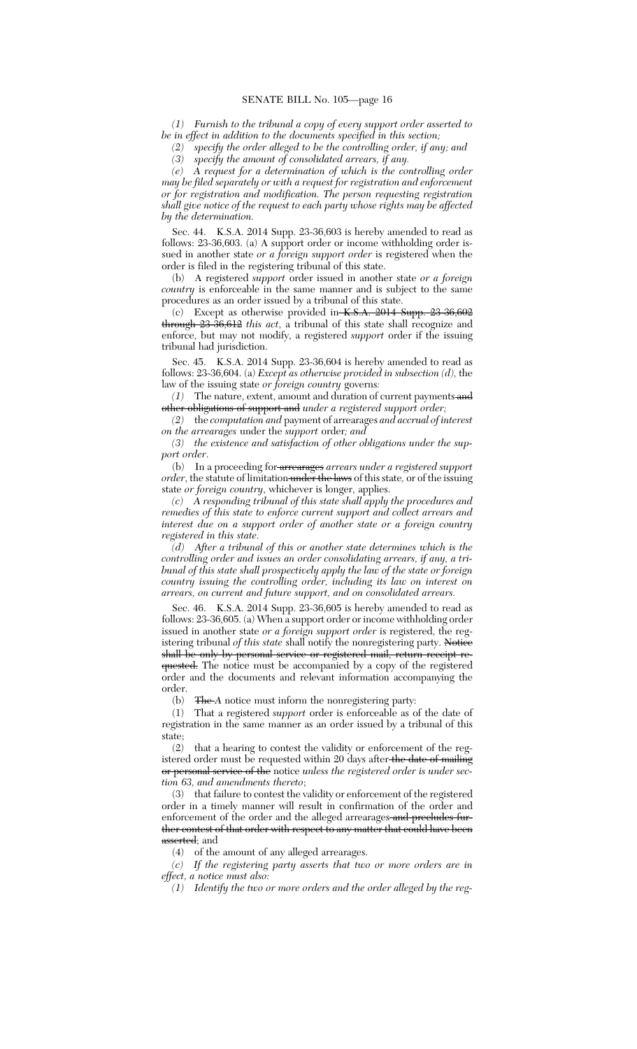*(1) Furnish to the tribunal a copy of every support order asserted to be in effect in addition to the documents specified in this section;*

*(2) specify the order alleged to be the controlling order, if any; and*

*(3) specify the amount of consolidated arrears, if any.*

*(e) A request for a determination of which is the controlling order may be filed separately or with a request for registration and enforcement or for registration and modification. The person requesting registration shall give notice of the request to each party whose rights may be affected by the determination.*

Sec. 44. K.S.A. 2014 Supp. 23-36,603 is hereby amended to read as follows: 23-36,603. (a) A support order or income withholding order issued in another state *or a foreign support order* is registered when the order is filed in the registering tribunal of this state.

(b) A registered *support* order issued in another state *or a foreign country* is enforceable in the same manner and is subject to the same procedures as an order issued by a tribunal of this state.

(c) Except as otherwise provided in K.S.A. 2014 Supp. 23-36,602 through 23-36,612 *this act*, a tribunal of this state shall recognize and enforce, but may not modify, a registered *support* order if the issuing tribunal had jurisdiction.

Sec. 45. K.S.A. 2014 Supp. 23-36,604 is hereby amended to read as follows: 23-36,604. (a) *Except as otherwise provided in subsection (d),* the law of the issuing state *or foreign country* governs*:*

*(1)* The nature, extent, amount and duration of current payments and other obligations of support and *under a registered support order;*

*(2)* the *computation and* payment of arrearages *and accrual of interest on the arrearages* under the *support* order*; and*

*(3) the existence and satisfaction of other obligations under the support order*.

(b) In a proceeding for arrearages *arrears under a registered support order*, the statute of limitation under the laws of this state*,* or of the issuing state *or foreign country*, whichever is longer, applies.

*(c) A responding tribunal of this state shall apply the procedures and remedies of this state to enforce current support and collect arrears and interest due on a support order of another state or a foreign country registered in this state.*

*(d) After a tribunal of this or another state determines which is the controlling order and issues an order consolidating arrears, if any, a tribunal of this state shall prospectively apply the law of the state or foreign country issuing the controlling order, including its law on interest on arrears, on current and future support, and on consolidated arrears.*

Sec. 46. K.S.A. 2014 Supp. 23-36,605 is hereby amended to read as follows: 23-36,605. (a) When a support order or income withholding order issued in another state *or a foreign support order* is registered, the registering tribunal *of this state* shall notify the nonregistering party. Notice shall be only by personal service or registered mail, return receipt requested. The notice must be accompanied by a copy of the registered order and the documents and relevant information accompanying the order.

(b) The *A* notice must inform the nonregistering party:

(1) That a registered *support* order is enforceable as of the date of registration in the same manner as an order issued by a tribunal of this state;

(2) that a hearing to contest the validity or enforcement of the registered order must be requested within 20 days after the date of mailing or personal service of the notice *unless the registered order is under section 63, and amendments thereto*;

(3) that failure to contest the validity or enforcement of the registered order in a timely manner will result in confirmation of the order and enforcement of the order and the alleged arrearages and precludes further contest of that order with respect to any matter that could have been asserted; and

(4) of the amount of any alleged arrearages.

*(c) If the registering party asserts that two or more orders are in effect, a notice must also:*

*(1) Identify the two or more orders and the order alleged by the reg-*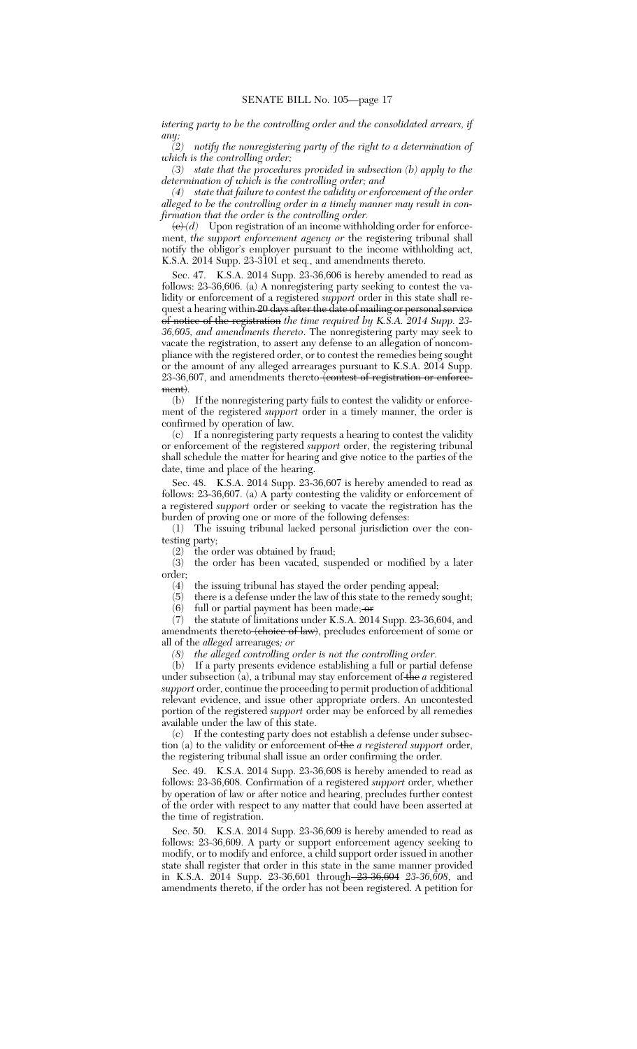*istering party to be the controlling order and the consolidated arrears, if any;*

*(2) notify the nonregistering party of the right to a determination of which is the controlling order;*

*(3) state that the procedures provided in subsection (b) apply to the determination of which is the controlling order; and*

*(4) state that failure to contest the validity or enforcement of the order alleged to be the controlling order in a timely manner may result in confirmation that the order is the controlling order.*

 $\left(\frac{e}{d}\right)$  Upon registration of an income withholding order for enforcement, *the support enforcement agency or* the registering tribunal shall notify the obligor's employer pursuant to the income withholding act, K.S.A. 2014 Supp. 23-3101 et seq*.*, and amendments thereto.

Sec. 47. K.S.A. 2014 Supp. 23-36,606 is hereby amended to read as follows: 23-36,606. (a) A nonregistering party seeking to contest the validity or enforcement of a registered *support* order in this state shall request a hearing within <del>20 days after the date of mailing or personal service</del> of notice of the registration *the time required by K.S.A. 2014 Supp. 23- 36,605, and amendments thereto*. The nonregistering party may seek to vacate the registration, to assert any defense to an allegation of noncompliance with the registered order, or to contest the remedies being sought or the amount of any alleged arrearages pursuant to K.S.A. 2014 Supp. 23-36,607, and amendments thereto (contest of registration or enfort ment).

(b) If the nonregistering party fails to contest the validity or enforcement of the registered *support* order in a timely manner, the order is confirmed by operation of law.

(c) If a nonregistering party requests a hearing to contest the validity or enforcement of the registered *support* order, the registering tribunal shall schedule the matter for hearing and give notice to the parties of the date, time and place of the hearing.

Sec. 48. K.S.A. 2014 Supp. 23-36,607 is hereby amended to read as follows: 23-36,607. (a) A party contesting the validity or enforcement of a registered *support* order or seeking to vacate the registration has the burden of proving one or more of the following defenses:

(1) The issuing tribunal lacked personal jurisdiction over the contesting party;

(2) the order was obtained by fraud;<br>(3) the order has been vacated, sus

the order has been vacated, suspended or modified by a later order;

(4) the issuing tribunal has stayed the order pending appeal;<br>(5) there is a defense under the law of this state to the remedy (5) there is a defense under the law of this state to the remedy sought;<br>(6) full or partial payment has been made: $\overrightarrow{or}$ full or partial payment has been made; or

(7) the statute of limitations under K.S.A. 2014 Supp. 23-36,604, and amendments thereto (choice of law), precludes enforcement of some or all of the *alleged* arrearages*; or*

*(8) the alleged controlling order is not the controlling order*.

(b) If a party presents evidence establishing a full or partial defense under subsection (a), a tribunal may stay enforcement of the *a* registered *support* order, continue the proceeding to permit production of additional relevant evidence, and issue other appropriate orders. An uncontested portion of the registered *support* order may be enforced by all remedies available under the law of this state.

(c) If the contesting party does not establish a defense under subsection (a) to the validity or enforcement of the *a registered support* order, the registering tribunal shall issue an order confirming the order.

Sec. 49. K.S.A. 2014 Supp. 23-36,608 is hereby amended to read as follows: 23-36,608. Confirmation of a registered *support* order, whether by operation of law or after notice and hearing, precludes further contest of the order with respect to any matter that could have been asserted at the time of registration.

Sec. 50. K.S.A. 2014 Supp. 23-36,609 is hereby amended to read as follows: 23-36,609. A party or support enforcement agency seeking to modify, or to modify and enforce, a child support order issued in another state shall register that order in this state in the same manner provided in K.S.A. 2014 Supp. 23-36,601 through 23-36,604 *23-36,608*, and amendments thereto, if the order has not been registered. A petition for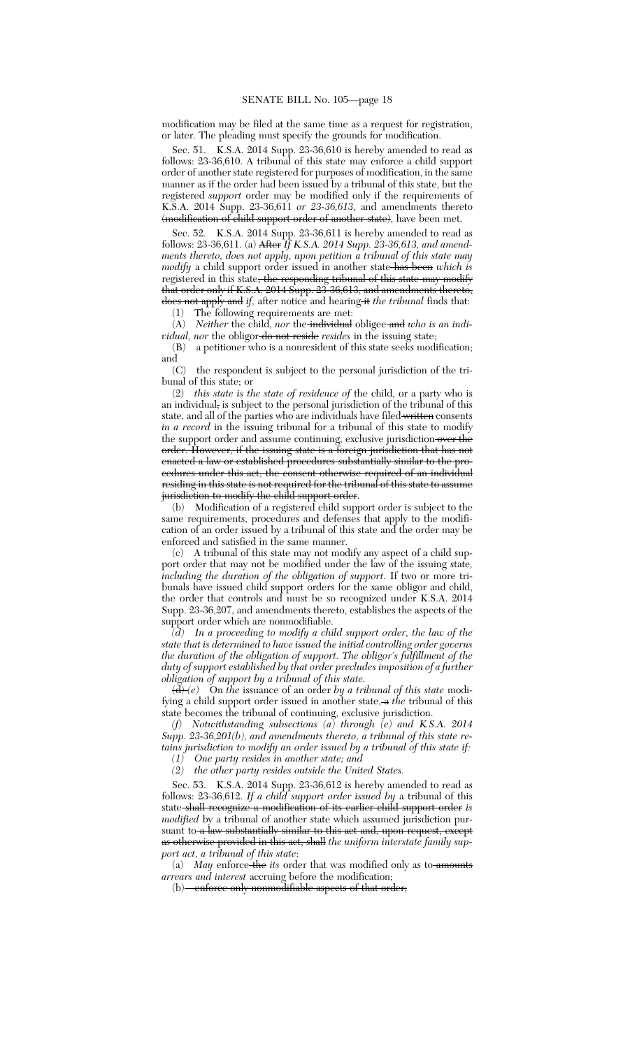modification may be filed at the same time as a request for registration, or later. The pleading must specify the grounds for modification.

Sec. 51. K.S.A. 2014 Supp. 23-36,610 is hereby amended to read as follows: 23-36,610. A tribunal of this state may enforce a child support order of another state registered for purposes of modification, in the same manner as if the order had been issued by a tribunal of this state, but the registered *support* order may be modified only if the requirements of K.S.A. 2014 Supp. 23-36,611 *or 23-36,613*, and amendments thereto <del>(modification of child support order of another state)</del>, have been met.

Sec. 52. K.S.A. 2014 Supp. 23-36,611 is hereby amended to read as follows: 23-36,611. (a) After *If K.S.A. 2014 Supp. 23-36,613, and amendments thereto, does not apply, upon petition a tribunal of this state may modify* a child support order issued in another state has been *which is* registered in this state, the responding tribunal of this state may modify that order only if K.S.A. 2014 Supp. 23-36,613, and amendments thereto, does not apply and *if,* after notice and hearing it *the tribunal* finds that:

(1) The following requirements are met:

(A) *Neither* the child, *nor* the individual obligee and *who is an individual, nor* the obligor do not reside *resides* in the issuing state;

(B) a petitioner who is a nonresident of this state seeks modification; and

(C) the respondent is subject to the personal jurisdiction of the tribunal of this state; or

(2) *this state is the state of residence of* the child, or a party who is an individual, is subject to the personal jurisdiction of the tribunal of this state, and all of the parties who are individuals have filed written consents *in a record* in the issuing tribunal for a tribunal of this state to modify the support order and assume continuing, exclusive jurisdiction over the order. However, if the issuing state is a foreign jurisdiction that has not enacted a law or established procedures substantially similar to the procedures under this act, the consent otherwise required of an individual residing in this state is not required for the tribunal of this state to assume jurisdiction to modify the child support order.

(b) Modification of a registered child support order is subject to the same requirements, procedures and defenses that apply to the modification of an order issued by a tribunal of this state and the order may be enforced and satisfied in the same manner.

(c) A tribunal of this state may not modify any aspect of a child support order that may not be modified under the law of the issuing state*, including the duration of the obligation of support*. If two or more tribunals have issued child support orders for the same obligor and child, the order that controls and must be so recognized under K.S.A. 2014 Supp. 23-36,207, and amendments thereto, establishes the aspects of the support order which are nonmodifiable.

*(d) In a proceeding to modify a child support order, the law of the state that is determined to have issued the initial controlling order governs the duration of the obligation of support. The obligor's fulfillment of the duty of support established by that order precludes imposition of a further obligation of support by a tribunal of this state.*

(d) *(e)* On *the* issuance of an order *by a tribunal of this state* modifying a child support order issued in another state, a *the* tribunal of this state becomes the tribunal of continuing, exclusive jurisdiction.

*(f) Notwithstanding subsections (a) through (e) and K.S.A. 2014 Supp. 23-36,201(b), and amendments thereto, a tribunal of this state retains jurisdiction to modify an order issued by a tribunal of this state if:*

*(1) One party resides in another state; and*

*(2) the other party resides outside the United States.*

Sec. 53. K.S.A. 2014 Supp. 23-36,612 is hereby amended to read as follows: 23-36,612. *If a child support order issued by* a tribunal of this state shall recognize a modification of its earlier child support order *is modified* by a tribunal of another state which assumed jurisdiction pursuant to a law substantially similar to this act and, upon request, except as otherwise provided in this act, shall *the uniform interstate family support act, a tribunal of this state*:

(a) *May* enforce the *its* order that was modified only as to amounts *arrears and interest* accruing before the modification;

 $(b)$  enforce only nonmodifiable aspects of that order;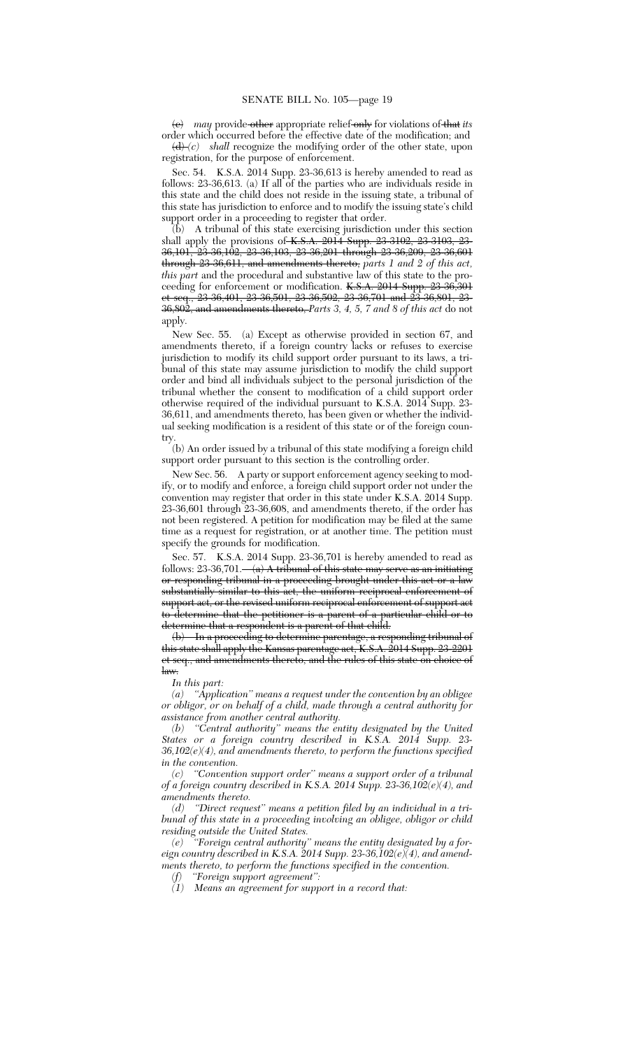(c) *may* provide other appropriate relief only for violations of that *its* order which occurred before the effective date of the modification; and  $\overline{(d)}(c)$  *shall* recognize the modifying order of the other state, upon

registration, for the purpose of enforcement.

Sec. 54. K.S.A. 2014 Supp. 23-36,613 is hereby amended to read as follows: 23-36,613. (a) If all of the parties who are individuals reside in this state and the child does not reside in the issuing state, a tribunal of this state has jurisdiction to enforce and to modify the issuing state's child support order in a proceeding to register that order.

 $(b)$  A tribunal of this state exercising jurisdiction under this section shall apply the provisions of K.S.A. 2014 Supp. 23-3102, 23-3103, 23-36,101, 23-36,102, 23-36,103, 23-36,201 through 23-36,209, 23-36,601 through 23-36,611, and amendments thereto, *parts 1 and 2 of this act, this part* and the procedural and substantive law of this state to the proceeding for enforcement or modification. K.S.A. 2014 Supp. 23-36,301 et seq., 23-36,401, 23-36,501, 23-36,502, 23-36,701 and 23-36,801, 23- 36,802, and amendments thereto, *Parts 3, 4, 5, 7 and 8 of this act* do not apply.

New Sec. 55. (a) Except as otherwise provided in section 67, and amendments thereto, if a foreign country lacks or refuses to exercise jurisdiction to modify its child support order pursuant to its laws, a tribunal of this state may assume jurisdiction to modify the child support order and bind all individuals subject to the personal jurisdiction of the tribunal whether the consent to modification of a child support order otherwise required of the individual pursuant to K.S.A. 2014 Supp. 23- 36,611, and amendments thereto, has been given or whether the individual seeking modification is a resident of this state or of the foreign country.

(b) An order issued by a tribunal of this state modifying a foreign child support order pursuant to this section is the controlling order.

New Sec. 56. A party or support enforcement agency seeking to modify, or to modify and enforce, a foreign child support order not under the convention may register that order in this state under K.S.A. 2014 Supp. 23-36,601 through 23-36,608, and amendments thereto, if the order has not been registered. A petition for modification may be filed at the same time as a request for registration, or at another time. The petition must specify the grounds for modification.

Sec. 57. K.S.A. 2014 Supp. 23-36,701 is hereby amended to read as follows: 23-36,701.  $\frac{a}{a}$  A tribunal of this state may serve as an initiating or responding tribunal in a proceeding brought under this act or a law substantially similar to this act, the uniform reciprocal enforcement of support act, or the revised uniform reciprocal enforcement of support act to determine that the petitioner is a parent of a particular child or to determine that a respondent is a parent of that child.

(b) In a proceeding to determine parentage, a responding tribunal of this state shall apply the Kansas parentage act, K.S.A. 2014 Supp. 23-2201 et seq., and amendments thereto, and the rules of this state on choice law.

*In this part:*

*(a) ''Application'' means a request under the convention by an obligee or obligor, or on behalf of a child, made through a central authority for assistance from another central authority.*

*(b) ''Central authority'' means the entity designated by the United States or a foreign country described in K.S.A. 2014 Supp. 23- 36,102(e)(4), and amendments thereto, to perform the functions specified in the convention.*

*(c) ''Convention support order'' means a support order of a tribunal of a foreign country described in K.S.A. 2014 Supp. 23-36,102(e)(4), and amendments thereto.*

*(d) ''Direct request'' means a petition filed by an individual in a tribunal of this state in a proceeding involving an obligee, obligor or child residing outside the United States.*

*(e) ''Foreign central authority'' means the entity designated by a foreign country described in K.S.A. 2014 Supp. 23-36,102(e)(4), and amendments thereto, to perform the functions specified in the convention.*

*(f) ''Foreign support agreement'':*

*(1) Means an agreement for support in a record that:*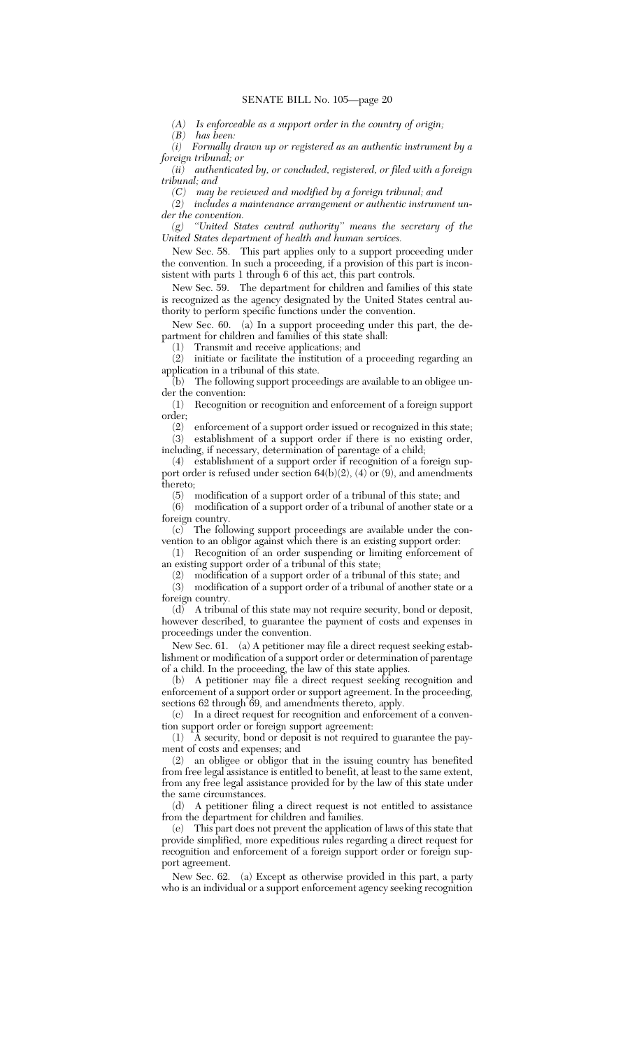*(A) Is enforceable as a support order in the country of origin;*

*(B) has been:*

*(i) Formally drawn up or registered as an authentic instrument by a foreign tribunal; or*

*(ii) authenticated by, or concluded, registered, or filed with a foreign tribunal; and*

*(C) may be reviewed and modified by a foreign tribunal; and*

*(2) includes a maintenance arrangement or authentic instrument under the convention.*

*(g) ''United States central authority'' means the secretary of the United States department of health and human services.*

New Sec. 58. This part applies only to a support proceeding under the convention. In such a proceeding, if a provision of this part is inconsistent with parts 1 through 6 of this act, this part controls.

New Sec. 59. The department for children and families of this state is recognized as the agency designated by the United States central authority to perform specific functions under the convention.

New Sec. 60. (a) In a support proceeding under this part, the department for children and families of this state shall:

(1) Transmit and receive applications; and

(2) initiate or facilitate the institution of a proceeding regarding an application in a tribunal of this state.

(b) The following support proceedings are available to an obligee under the convention:

(1) Recognition or recognition and enforcement of a foreign support order;<br> $(2)$ 

enforcement of a support order issued or recognized in this state; (3) establishment of a support order if there is no existing order, including, if necessary, determination of parentage of a child;

(4) establishment of a support order if recognition of a foreign support order is refused under section  $64(b)(2)$ ,  $(4)$  or  $(9)$ , and amendments thereto;

(5) modification of a support order of a tribunal of this state; and

(6) modification of a support order of a tribunal of another state or a foreign country.

(c) The following support proceedings are available under the convention to an obligor against which there is an existing support order:

(1) Recognition of an order suspending or limiting enforcement of an existing support order of a tribunal of this state;

(2) modification of a support order of a tribunal of this state; and

(3) modification of a support order of a tribunal of another state or a foreign country.

(d) A tribunal of this state may not require security, bond or deposit, however described, to guarantee the payment of costs and expenses in proceedings under the convention.

New Sec. 61. (a) A petitioner may file a direct request seeking establishment or modification of a support order or determination of parentage of a child. In the proceeding, the law of this state applies.

(b) A petitioner may file a direct request seeking recognition and enforcement of a support order or support agreement. In the proceeding, sections 62 through 69, and amendments thereto, apply.

(c) In a direct request for recognition and enforcement of a convention support order or foreign support agreement:

 $(1)$  A security, bond or deposit is not required to guarantee the payment of costs and expenses; and

(2) an obligee or obligor that in the issuing country has benefited from free legal assistance is entitled to benefit, at least to the same extent, from any free legal assistance provided for by the law of this state under the same circumstances.

(d) A petitioner filing a direct request is not entitled to assistance from the department for children and families.

(e) This part does not prevent the application of laws of this state that provide simplified, more expeditious rules regarding a direct request for recognition and enforcement of a foreign support order or foreign support agreement.

New Sec. 62. (a) Except as otherwise provided in this part, a party who is an individual or a support enforcement agency seeking recognition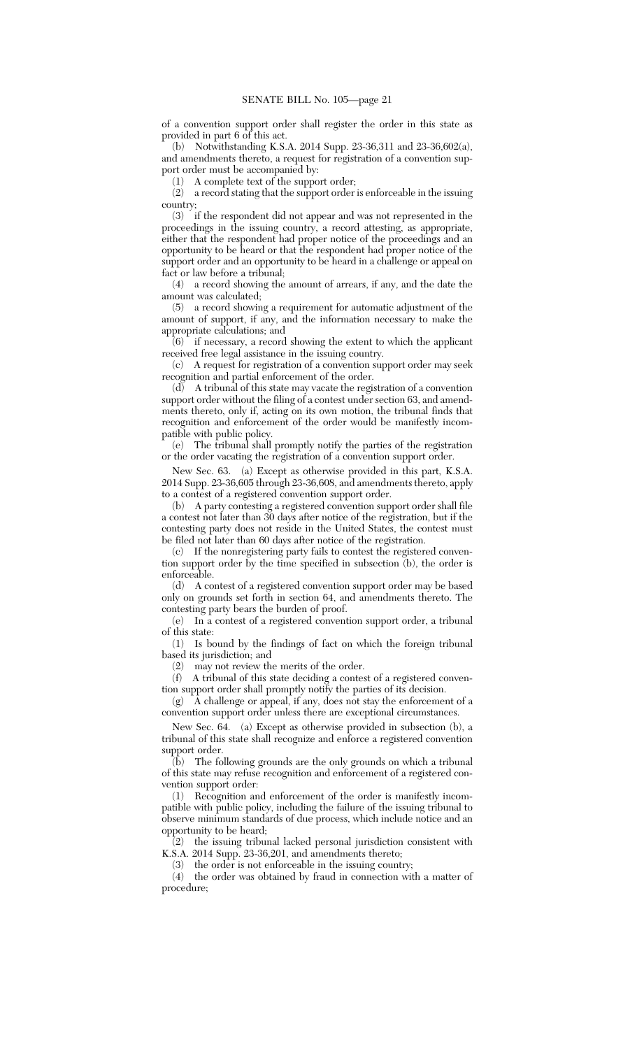of a convention support order shall register the order in this state as provided in part 6 of this act.

(b) Notwithstanding K.S.A. 2014 Supp. 23-36,311 and 23-36,602(a), and amendments thereto, a request for registration of a convention support order must be accompanied by:

(1) A complete text of the support order;

(2) a record stating that the support order is enforceable in the issuing country;

(3) if the respondent did not appear and was not represented in the proceedings in the issuing country, a record attesting, as appropriate, either that the respondent had proper notice of the proceedings and an opportunity to be heard or that the respondent had proper notice of the support order and an opportunity to be heard in a challenge or appeal on fact or law before a tribunal;

(4) a record showing the amount of arrears, if any, and the date the amount was calculated;

(5) a record showing a requirement for automatic adjustment of the amount of support, if any, and the information necessary to make the appropriate calculations; and

if necessary, a record showing the extent to which the applicant received free legal assistance in the issuing country.

(c) A request for registration of a convention support order may seek recognition and partial enforcement of the order.

 $(d)$  A tribunal of this state may vacate the registration of a convention support order without the filing of a contest under section 63, and amendments thereto, only if, acting on its own motion, the tribunal finds that recognition and enforcement of the order would be manifestly incompatible with public policy.

(e) The tribunal shall promptly notify the parties of the registration or the order vacating the registration of a convention support order.

New Sec. 63. (a) Except as otherwise provided in this part, K.S.A. 2014 Supp. 23-36,605 through 23-36,608, and amendments thereto, apply to a contest of a registered convention support order.

(b) A party contesting a registered convention support order shall file a contest not later than 30 days after notice of the registration, but if the contesting party does not reside in the United States, the contest must be filed not later than 60 days after notice of the registration.

(c) If the nonregistering party fails to contest the registered convention support order by the time specified in subsection (b), the order is enforceable.

(d) A contest of a registered convention support order may be based only on grounds set forth in section 64, and amendments thereto. The contesting party bears the burden of proof.

(e) In a contest of a registered convention support order, a tribunal of this state:

(1) Is bound by the findings of fact on which the foreign tribunal based its jurisdiction; and

(2) may not review the merits of the order.

(f) A tribunal of this state deciding a contest of a registered convention support order shall promptly notify the parties of its decision.

(g) A challenge or appeal, if any, does not stay the enforcement of a convention support order unless there are exceptional circumstances.

New Sec. 64. (a) Except as otherwise provided in subsection (b), a tribunal of this state shall recognize and enforce a registered convention support order.

(b) The following grounds are the only grounds on which a tribunal of this state may refuse recognition and enforcement of a registered convention support order:

(1) Recognition and enforcement of the order is manifestly incompatible with public policy, including the failure of the issuing tribunal to observe minimum standards of due process, which include notice and an opportunity to be heard;

 $(2)$  the issuing tribunal lacked personal jurisdiction consistent with K.S.A. 2014 Supp. 23-36,201, and amendments thereto;

(3) the order is not enforceable in the issuing country;

(4) the order was obtained by fraud in connection with a matter of procedure;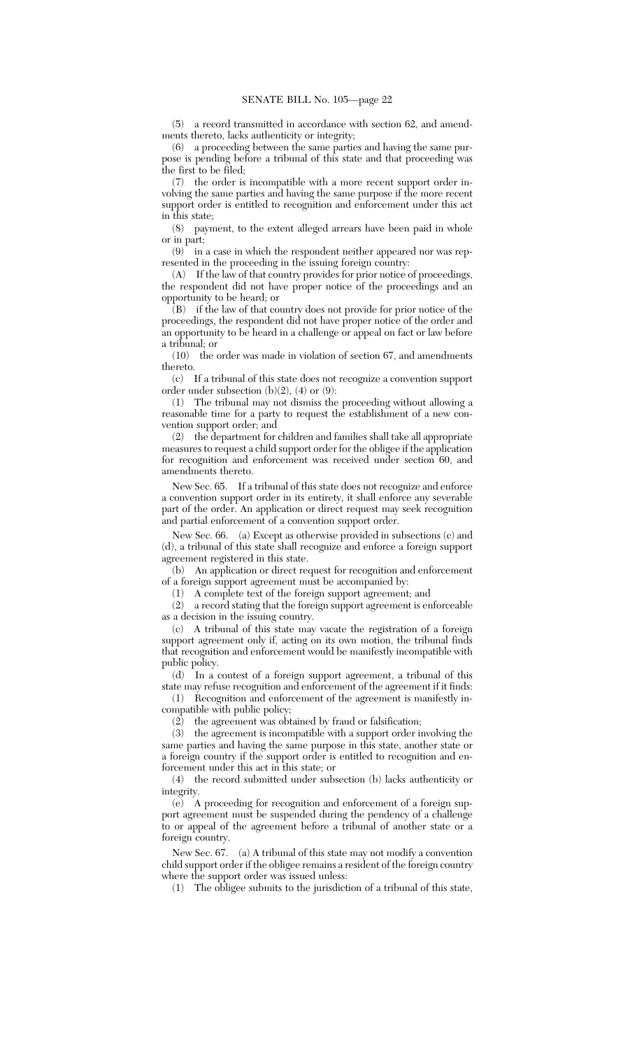(5) a record transmitted in accordance with section 62, and amendments thereto, lacks authenticity or integrity;

(6) a proceeding between the same parties and having the same purpose is pending before a tribunal of this state and that proceeding was the first to be filed;

(7) the order is incompatible with a more recent support order involving the same parties and having the same purpose if the more recent support order is entitled to recognition and enforcement under this act in this state;

(8) payment, to the extent alleged arrears have been paid in whole or in part;

(9) in a case in which the respondent neither appeared nor was represented in the proceeding in the issuing foreign country:

(A) If the law of that country provides for prior notice of proceedings, the respondent did not have proper notice of the proceedings and an opportunity to be heard; or

(B) if the law of that country does not provide for prior notice of the proceedings, the respondent did not have proper notice of the order and an opportunity to be heard in a challenge or appeal on fact or law before a tribunal; or

(10) the order was made in violation of section 67, and amendments thereto.

(c) If a tribunal of this state does not recognize a convention support order under subsection  $(b)(2)$ ,  $(4)$  or  $(9)$ :

(1) The tribunal may not dismiss the proceeding without allowing a reasonable time for a party to request the establishment of a new convention support order; and

(2) the department for children and families shall take all appropriate measures to request a child support order for the obligee if the application for recognition and enforcement was received under section 60, and amendments thereto.

New Sec. 65. If a tribunal of this state does not recognize and enforce a convention support order in its entirety, it shall enforce any severable part of the order. An application or direct request may seek recognition and partial enforcement of a convention support order.

New Sec. 66. (a) Except as otherwise provided in subsections (c) and (d), a tribunal of this state shall recognize and enforce a foreign support agreement registered in this state.

(b) An application or direct request for recognition and enforcement of a foreign support agreement must be accompanied by:

(1) A complete text of the foreign support agreement; and

(2) a record stating that the foreign support agreement is enforceable as a decision in the issuing country.

(c) A tribunal of this state may vacate the registration of a foreign support agreement only if, acting on its own motion, the tribunal finds that recognition and enforcement would be manifestly incompatible with public policy.

(d) In a contest of a foreign support agreement, a tribunal of this state may refuse recognition and enforcement of the agreement if it finds:

(1) Recognition and enforcement of the agreement is manifestly incompatible with public policy;

(2) the agreement was obtained by fraud or falsification;

(3) the agreement is incompatible with a support order involving the same parties and having the same purpose in this state, another state or a foreign country if the support order is entitled to recognition and enforcement under this act in this state; or

(4) the record submitted under subsection (b) lacks authenticity or integrity.

(e) A proceeding for recognition and enforcement of a foreign support agreement must be suspended during the pendency of a challenge to or appeal of the agreement before a tribunal of another state or a foreign country.

New Sec. 67. (a) A tribunal of this state may not modify a convention child support order if the obligee remains a resident of the foreign country where the support order was issued unless:

(1) The obligee submits to the jurisdiction of a tribunal of this state,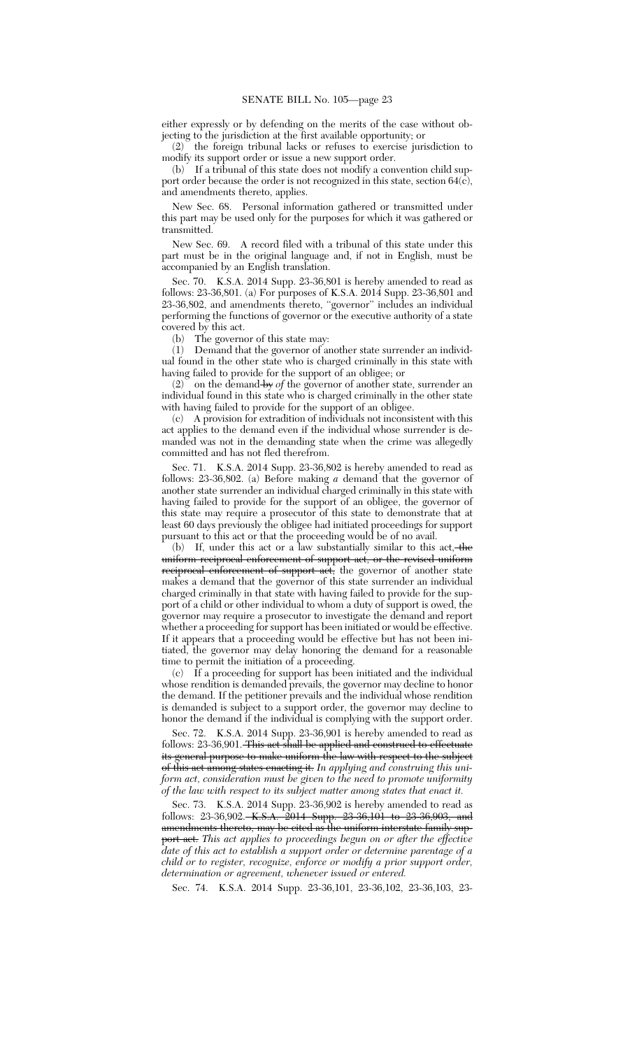either expressly or by defending on the merits of the case without objecting to the jurisdiction at the first available opportunity; or

(2) the foreign tribunal lacks or refuses to exercise jurisdiction to modify its support order or issue a new support order.

(b) If a tribunal of this state does not modify a convention child support order because the order is not recognized in this state, section  $64(\bar{c})$ , and amendments thereto, applies.

New Sec. 68. Personal information gathered or transmitted under this part may be used only for the purposes for which it was gathered or transmitted.

New Sec. 69. A record filed with a tribunal of this state under this part must be in the original language and, if not in English, must be accompanied by an English translation.

Sec. 70. K.S.A. 2014 Supp. 23-36,801 is hereby amended to read as follows: 23-36,801. (a) For purposes of K.S.A. 2014 Supp. 23-36,801 and 23-36,802, and amendments thereto, ''governor'' includes an individual performing the functions of governor or the executive authority of a state covered by this act.

(b) The governor of this state may:

(1) Demand that the governor of another state surrender an individual found in the other state who is charged criminally in this state with having failed to provide for the support of an obligee; or

(2) on the demand by *of* the governor of another state, surrender an individual found in this state who is charged criminally in the other state with having failed to provide for the support of an obligee.

(c) A provision for extradition of individuals not inconsistent with this act applies to the demand even if the individual whose surrender is demanded was not in the demanding state when the crime was allegedly committed and has not fled therefrom.

Sec. 71. K.S.A. 2014 Supp. 23-36,802 is hereby amended to read as follows: 23-36,802. (a) Before making *a* demand that the governor of another state surrender an individual charged criminally in this state with having failed to provide for the support of an obligee, the governor of this state may require a prosecutor of this state to demonstrate that at least 60 days previously the obligee had initiated proceedings for support pursuant to this act or that the proceeding would be of no avail.

(b) If, under this act or a law substantially similar to this act, the uniform reciprocal enforcement of support act, or the revised uniform reciprocal enforcement of support act, the governor of another state makes a demand that the governor of this state surrender an individual charged criminally in that state with having failed to provide for the support of a child or other individual to whom a duty of support is owed, the governor may require a prosecutor to investigate the demand and report whether a proceeding for support has been initiated or would be effective. If it appears that a proceeding would be effective but has not been initiated, the governor may delay honoring the demand for a reasonable time to permit the initiation of a proceeding.

(c) If a proceeding for support has been initiated and the individual whose rendition is demanded prevails, the governor may decline to honor the demand. If the petitioner prevails and the individual whose rendition is demanded is subject to a support order, the governor may decline to honor the demand if the individual is complying with the support order.

Sec. 72. K.S.A. 2014 Supp. 23-36,901 is hereby amended to read as follows: 23-36,901. <del>This act shall be applied and construed to effectuate</del> its general purpose to make uniform the law with respect to the subject of this act among states enacting it. *In applying and construing this uniform act, consideration must be given to the need to promote uniformity of the law with respect to its subject matter among states that enact it.*

Sec. 73. K.S.A. 2014 Supp. 23-36,902 is hereby amended to read as follows: 23-36,902.<del>-K.S.A. 2014 Supp. 23-36,101 to 23-36,903, and</del> amendments thereto, may be cited as the uniform interstate family support act. *This act applies to proceedings begun on or after the effective date of this act to establish a support order or determine parentage of a child or to register, recognize, enforce or modify a prior support order, determination or agreement, whenever issued or entered.*

Sec. 74. K.S.A. 2014 Supp. 23-36,101, 23-36,102, 23-36,103, 23-